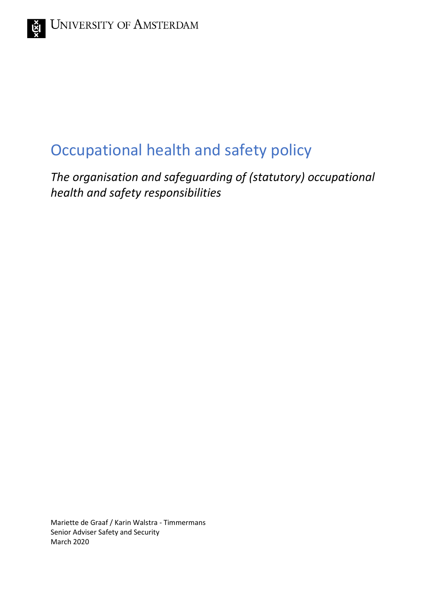# Occupational health and safety policy

*The organisation and safeguarding of (statutory) occupational health and safety responsibilities*

Mariette de Graaf / Karin Walstra - Timmermans Senior Adviser Safety and Security March 2020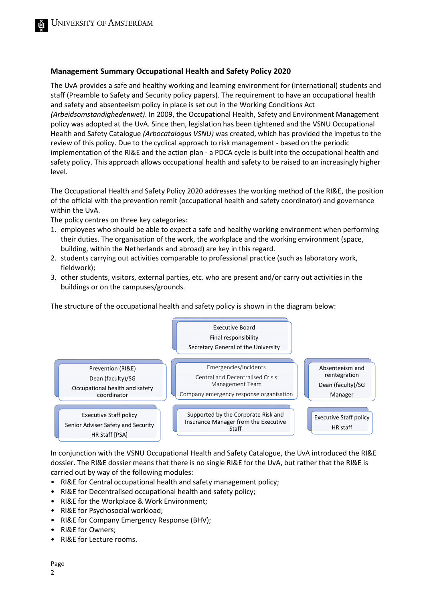#### **Management Summary Occupational Health and Safety Policy 2020**

The UvA provides a safe and healthy working and learning environment for (international) students and staff (Preamble to Safety and Security policy papers). The requirement to have an occupational health and safety and absenteeism policy in place is set out in the Working Conditions Act *(Arbeidsomstandighedenwet)*. In 2009, the Occupational Health, Safety and Environment Management policy was adopted at the UvA. Since then, legislation has been tightened and the VSNU Occupational Health and Safety Catalogue *(Arbocatalogus VSNU)* was created, which has provided the impetus to the review of this policy. Due to the cyclical approach to risk management - based on the periodic implementation of the RI&E and the action plan - a PDCA cycle is built into the occupational health and safety policy. This approach allows occupational health and safety to be raised to an increasingly higher level.

The Occupational Health and Safety Policy 2020 addresses the working method of the RI&E, the position of the official with the prevention remit (occupational health and safety coordinator) and governance within the UvA.

The policy centres on three key categories:

- 1. employees who should be able to expect a safe and healthy working environment when performing their duties. The organisation of the work, the workplace and the working environment (space, building, within the Netherlands and abroad) are key in this regard.
- 2. students carrying out activities comparable to professional practice (such as laboratory work, fieldwork);
- 3. other students, visitors, external parties, etc. who are present and/or carry out activities in the buildings or on the campuses/grounds.

The structure of the occupational health and safety policy is shown in the diagram below:



In conjunction with the VSNU Occupational Health and Safety Catalogue, the UvA introduced the RI&E dossier. The RI&E dossier means that there is no single RI&E for the UvA, but rather that the RI&E is carried out by way of the following modules:

- RI&E for Central occupational health and safety management policy;
- RI&E for Decentralised occupational health and safety policy;
- RI&E for the Workplace & Work Environment;
- RI&E for Psychosocial workload;
- RI&E for Company Emergency Response (BHV);
- RI&E for Owners;
- RI&E for Lecture rooms.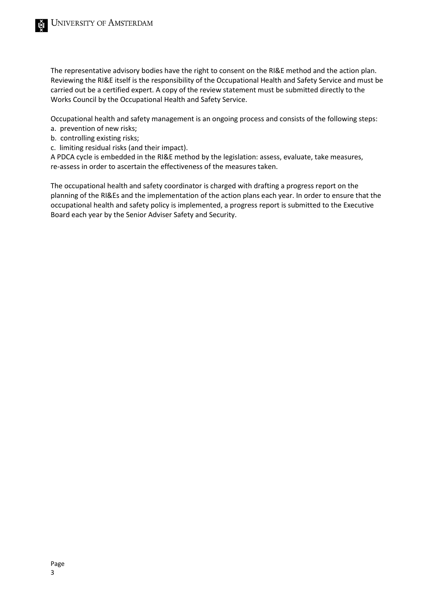The representative advisory bodies have the right to consent on the RI&E method and the action plan. Reviewing the RI&E itself is the responsibility of the Occupational Health and Safety Service and must be carried out be a certified expert. A copy of the review statement must be submitted directly to the Works Council by the Occupational Health and Safety Service.

Occupational health and safety management is an ongoing process and consists of the following steps:

- a. prevention of new risks;
- b. controlling existing risks;
- c. limiting residual risks (and their impact).

A PDCA cycle is embedded in the RI&E method by the legislation: assess, evaluate, take measures, re-assess in order to ascertain the effectiveness of the measures taken.

The occupational health and safety coordinator is charged with drafting a progress report on the planning of the RI&Es and the implementation of the action plans each year. In order to ensure that the occupational health and safety policy is implemented, a progress report is submitted to the Executive Board each year by the Senior Adviser Safety and Security.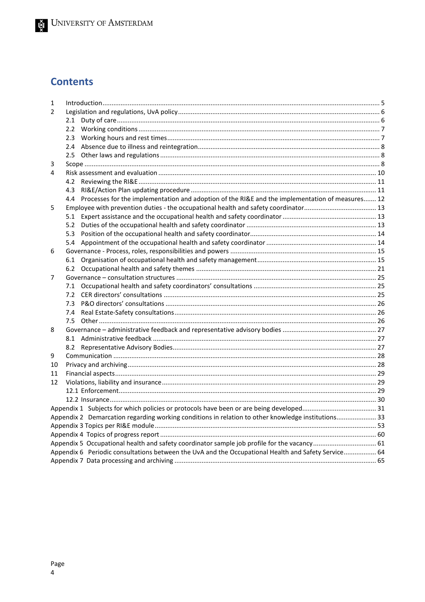# **Contents**

| 1             |                                                                                                        |  |
|---------------|--------------------------------------------------------------------------------------------------------|--|
| $\mathcal{P}$ |                                                                                                        |  |
|               | 2.1                                                                                                    |  |
|               | $2.2^{\circ}$                                                                                          |  |
|               | 2.3                                                                                                    |  |
|               |                                                                                                        |  |
|               |                                                                                                        |  |
| 3             |                                                                                                        |  |
| 4             |                                                                                                        |  |
|               | 4.2                                                                                                    |  |
|               | 4.3                                                                                                    |  |
|               | Processes for the implementation and adoption of the RI&E and the implementation of measures 12<br>4.4 |  |
| 5             |                                                                                                        |  |
|               | 5.1                                                                                                    |  |
|               |                                                                                                        |  |
|               | 5.3                                                                                                    |  |
|               |                                                                                                        |  |
| 6             |                                                                                                        |  |
|               | 6.1                                                                                                    |  |
|               |                                                                                                        |  |
| 7             |                                                                                                        |  |
|               | 7.1                                                                                                    |  |
|               |                                                                                                        |  |
|               |                                                                                                        |  |
|               | 7.4                                                                                                    |  |
|               | 7.5                                                                                                    |  |
| 8             |                                                                                                        |  |
|               |                                                                                                        |  |
|               |                                                                                                        |  |
| 9             |                                                                                                        |  |
| 10            |                                                                                                        |  |
| 11            |                                                                                                        |  |
| 12            |                                                                                                        |  |
|               |                                                                                                        |  |
|               |                                                                                                        |  |
|               |                                                                                                        |  |
|               | Appendix 2 Demarcation regarding working conditions in relation to other knowledge institutions 33     |  |
|               |                                                                                                        |  |
|               |                                                                                                        |  |
|               | Appendix 5 Occupational health and safety coordinator sample job profile for the vacancy 61            |  |
|               | Appendix 6 Periodic consultations between the UvA and the Occupational Health and Safety Service 64    |  |
|               |                                                                                                        |  |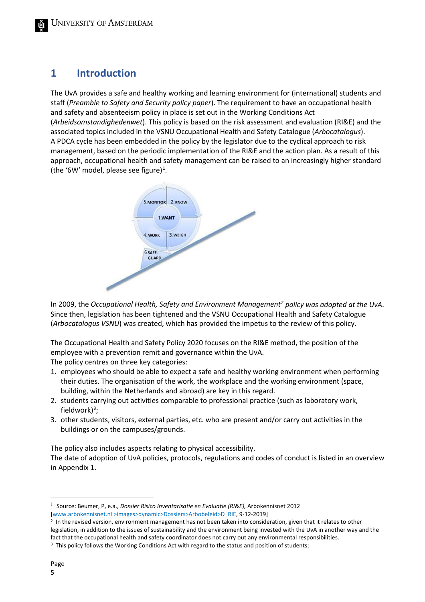# <span id="page-4-0"></span>**1 Introduction**

The UvA provides a safe and healthy working and learning environment for (international) students and staff (*Preamble to Safety and Security policy paper*). The requirement to have an occupational health and safety and absenteeism policy in place is set out in the Working Conditions Act (*Arbeidsomstandighedenwet*). This policy is based on the risk assessment and evaluation (RI&E) and the associated topics included in the VSNU Occupational Health and Safety Catalogue (*Arbocatalogus*). A PDCA cycle has been embedded in the policy by the legislator due to the cyclical approach to risk management, based on the periodic implementation of the RI&E and the action plan. As a result of this approach, occupational health and safety management can be raised to an increasingly higher standard (the '6W' model, please see figure)<sup>[1](#page-4-1)</sup>.



In 2009, the *Occupational Health, Safety and Environment Managemen[t2](#page-4-2) policy was adopted at the UvA*. Since then, legislation has been tightened and the VSNU Occupational Health and Safety Catalogue (*Arbocatalogus VSNU*) was created, which has provided the impetus to the review of this policy.

The Occupational Health and Safety Policy 2020 focuses on the RI&E method, the position of the employee with a prevention remit and governance within the UvA.

The policy centres on three key categories:

- 1. employees who should be able to expect a safe and healthy working environment when performing their duties. The organisation of the work, the workplace and the working environment (space, building, within the Netherlands and abroad) are key in this regard.
- 2. students carrying out activities comparable to professional practice (such as laboratory work, fieldwork)<sup>[3](#page-4-3)</sup>;
- 3. other students, visitors, external parties, etc. who are present and/or carry out activities in the buildings or on the campuses/grounds.

The policy also includes aspects relating to physical accessibility.

The date of adoption of UvA policies, protocols, regulations and codes of conduct is listed in an overview in Appendix 1.

<span id="page-4-1"></span>1 Source: Beumer, P, e.a., *Dossier Risico Inventarisatie en Evaluatie (RI&E),* Arbokennisnet 2012 [www.arbokennisnet.nl >images>dynamic>Dossiers>Arbobeleid>D\_RIE, 9-12-2019]

<span id="page-4-2"></span> $2$  In the revised version, environment management has not been taken into consideration, given that it relates to other legislation, in addition to the issues of sustainability and the environment being invested with the UvA in another way and the fact that the occupational health and safety coordinator does not carry out any environmental responsibilities.  $3$  This policy follows the Working Conditions Act with regard to the status and position of students;

<span id="page-4-3"></span>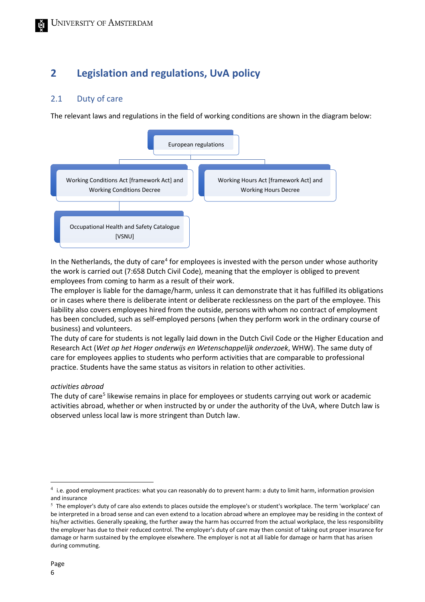# <span id="page-5-0"></span>**2 Legislation and regulations, UvA policy**

## <span id="page-5-1"></span>2.1 Duty of care

The relevant laws and regulations in the field of working conditions are shown in the diagram below:



In the Netherlands, the duty of care<sup>[4](#page-5-2)</sup> for employees is invested with the person under whose authority the work is carried out (7:658 Dutch Civil Code), meaning that the employer is obliged to prevent employees from coming to harm as a result of their work.

The employer is liable for the damage/harm, unless it can demonstrate that it has fulfilled its obligations or in cases where there is deliberate intent or deliberate recklessness on the part of the employee. This liability also covers employees hired from the outside, persons with whom no contract of employment has been concluded, such as self-employed persons (when they perform work in the ordinary course of business) and volunteers.

The duty of care for students is not legally laid down in the Dutch Civil Code or the Higher Education and Research Act (*Wet op het Hoger onderwijs en Wetenschappelijk onderzoek*, WHW). The same duty of care for employees applies to students who perform activities that are comparable to professional practice. Students have the same status as visitors in relation to other activities.

#### *activities abroad*

The duty of care<sup>[5](#page-5-3)</sup> likewise remains in place for employees or students carrying out work or academic activities abroad, whether or when instructed by or under the authority of the UvA, where Dutch law is observed unless local law is more stringent than Dutch law.

<span id="page-5-2"></span> $^4$  i.e. good employment practices: what you can reasonably do to prevent harm: a duty to limit harm, information provision and insurance

<span id="page-5-3"></span> $5$  The employer's duty of care also extends to places outside the employee's or student's workplace. The term 'workplace' can be interpreted in a broad sense and can even extend to a location abroad where an employee may be residing in the context of his/her activities. Generally speaking, the further away the harm has occurred from the actual workplace, the less responsibility the employer has due to their reduced control. The employer's duty of care may then consist of taking out proper insurance for damage or harm sustained by the employee elsewhere. The employer is not at all liable for damage or harm that has arisen during commuting.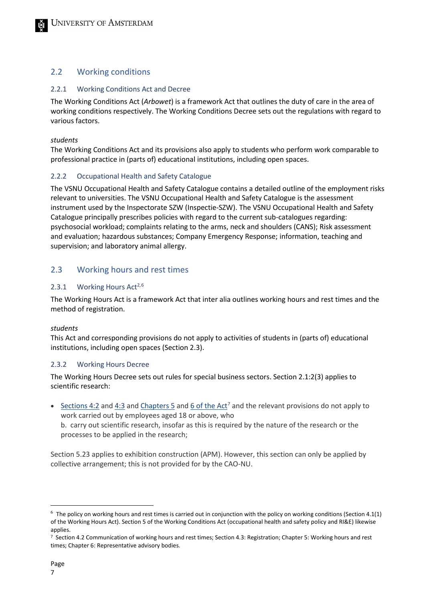## <span id="page-6-0"></span>2.2 Working conditions

#### 2.2.1 Working Conditions Act and Decree

The Working Conditions Act (*Arbowet*) is a framework Act that outlines the duty of care in the area of working conditions respectively. The Working Conditions Decree sets out the regulations with regard to various factors.

#### *students*

The Working Conditions Act and its provisions also apply to students who perform work comparable to professional practice in (parts of) educational institutions, including open spaces.

#### 2.2.2 Occupational Health and Safety Catalogue

The VSNU Occupational Health and Safety Catalogue contains a detailed outline of the employment risks relevant to universities. The VSNU Occupational Health and Safety Catalogue is the assessment instrument used by the Inspectorate SZW (Inspectie-SZW). The VSNU Occupational Health and Safety Catalogue principally prescribes policies with regard to the current sub-catalogues regarding: psychosocial workload; complaints relating to the arms, neck and shoulders (CANS); Risk assessment and evaluation; hazardous substances; Company Emergency Response; information, teaching and supervision; and laboratory animal allergy.

## <span id="page-6-1"></span>2.3 Working hours and rest times

#### 2.3.1 Working Hours Act<sup>2,[6](#page-6-2)</sup>

The Working Hours Act is a framework Act that inter alia outlines working hours and rest times and the method of registration.

#### *students*

This Act and corresponding provisions do not apply to activities of students in (parts of) educational institutions, including open spaces (Section 2.3).

#### 2.3.2 Working Hours Decree

The Working Hours Decree sets out rules for special business sectors. Section 2.1:2(3) applies to scientific research:

• [Sections 4:2](https://wetten.overheid.nl/jci1.3:c:BWBR0007671&artikel=4:2&g=2019-10-24&z=2019-10-24) and [4:3](https://wetten.overheid.nl/jci1.3:c:BWBR0007671&artikel=4:3&g=2019-10-24&z=2019-10-24) an[d Chapters 5](https://wetten.overheid.nl/jci1.3:c:BWBR0007671&hoofdstuk=5&g=2019-10-24&z=2019-10-24) and 6 of the Act<sup>7</sup> and the relevant provisions do not apply to work carried out by employees aged 18 or above, who b. carry out scientific research, insofar as this is required by the nature of the research or the processes to be applied in the research;

Section 5.23 applies to exhibition construction (APM). However, this section can only be applied by collective arrangement; this is not provided for by the CAO-NU.

<span id="page-6-2"></span> $^6$  The policy on working hours and rest times is carried out in conjunction with the policy on working conditions (Section 4.1(1) of the Working Hours Act). Section 5 of the Working Conditions Act (occupational health and safety policy and RI&E) likewise applies.

<span id="page-6-3"></span><sup>7</sup> Section 4.2 Communication of working hours and rest times; Section 4.3: Registration; Chapter 5: Working hours and rest times; Chapter 6: Representative advisory bodies.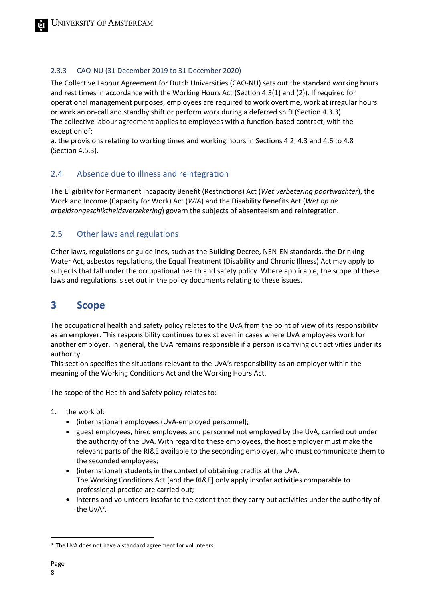### 2.3.3 CAO-NU (31 December 2019 to 31 December 2020)

The Collective Labour Agreement for Dutch Universities (CAO-NU) sets out the standard working hours and rest times in accordance with the Working Hours Act (Section 4.3(1) and (2)). If required for operational management purposes, employees are required to work overtime, work at irregular hours or work an on-call and standby shift or perform work during a deferred shift (Section 4.3.3). The collective labour agreement applies to employees with a function-based contract, with the exception of:

a. the provisions relating to working times and working hours in Sections 4.2, 4.3 and 4.6 to 4.8 (Section 4.5.3).

## <span id="page-7-0"></span>2.4 Absence due to illness and reintegration

The Eligibility for Permanent Incapacity Benefit (Restrictions) Act (*Wet verbetering poortwachter*), the Work and Income (Capacity for Work) Act (*WIA*) and the Disability Benefits Act (*Wet op de arbeidsongeschiktheidsverzekering*) govern the subjects of absenteeism and reintegration.

## <span id="page-7-1"></span>2.5 Other laws and regulations

Other laws, regulations or guidelines, such as the Building Decree, NEN-EN standards, the Drinking Water Act, asbestos regulations, the Equal Treatment (Disability and Chronic Illness) Act may apply to subjects that fall under the occupational health and safety policy. Where applicable, the scope of these laws and regulations is set out in the policy documents relating to these issues.

# <span id="page-7-2"></span>**3 Scope**

The occupational health and safety policy relates to the UvA from the point of view of its responsibility as an employer. This responsibility continues to exist even in cases where UvA employees work for another employer. In general, the UvA remains responsible if a person is carrying out activities under its authority.

This section specifies the situations relevant to the UvA's responsibility as an employer within the meaning of the Working Conditions Act and the Working Hours Act.

The scope of the Health and Safety policy relates to:

- 1. the work of:
	- (international) employees (UvA-employed personnel);
	- guest employees, hired employees and personnel not employed by the UvA, carried out under the authority of the UvA. With regard to these employees, the host employer must make the relevant parts of the RI&E available to the seconding employer, who must communicate them to the seconded employees;
	- (international) students in the context of obtaining credits at the UvA. The Working Conditions Act [and the RI&E] only apply insofar activities comparable to professional practice are carried out;
	- interns and volunteers insofar to the extent that they carry out activities under the authority of the UvA<sup>[8](#page-7-3)</sup>.

<span id="page-7-3"></span><sup>&</sup>lt;sup>8</sup> The UvA does not have a standard agreement for volunteers.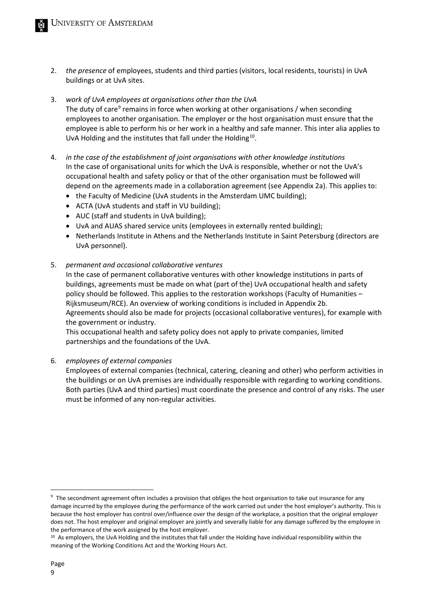- 2. *the presence* of employees, students and third parties (visitors, local residents, tourists) in UvA buildings or at UvA sites.
- 3. *work of UvA employees at organisations other than the UvA* The duty of care<sup>9</sup> remains in force when working at other organisations / when seconding employees to another organisation. The employer or the host organisation must ensure that the employee is able to perform his or her work in a healthy and safe manner. This inter alia applies to UvA Holding and the institutes that fall under the Holding<sup>10</sup>.
- 4. *in the case of the establishment of joint organisations with other knowledge institutions* In the case of organisational units for which the UvA is responsible, whether or not the UvA's occupational health and safety policy or that of the other organisation must be followed will depend on the agreements made in a collaboration agreement (see Appendix 2a). This applies to:
	- the Faculty of Medicine (UvA students in the Amsterdam UMC building);
	- ACTA (UvA students and staff in VU building);
	- AUC (staff and students in UvA building);
	- UvA and AUAS shared service units (employees in externally rented building);
	- Netherlands Institute in Athens and the Netherlands Institute in Saint Petersburg (directors are UvA personnel).
- 5. *permanent and occasional collaborative ventures*

In the case of permanent collaborative ventures with other knowledge institutions in parts of buildings, agreements must be made on what (part of the) UvA occupational health and safety policy should be followed. This applies to the restoration workshops (Faculty of Humanities – Rijksmuseum/RCE). An overview of working conditions is included in Appendix 2b. Agreements should also be made for projects (occasional collaborative ventures), for example with the government or industry.

This occupational health and safety policy does not apply to private companies, limited partnerships and the foundations of the UvA.

6. *employees of external companies*

Employees of external companies (technical, catering, cleaning and other) who perform activities in the buildings or on UvA premises are individually responsible with regarding to working conditions. Both parties (UvA and third parties) must coordinate the presence and control of any risks. The user must be informed of any non-regular activities.

<span id="page-8-0"></span> $9$  The secondment agreement often includes a provision that obliges the host organisation to take out insurance for any damage incurred by the employee during the performance of the work carried out under the host employer's authority. This is because the host employer has control over/influence over the design of the workplace, a position that the original employer does not. The host employer and original employer are jointly and severally liable for any damage suffered by the employee in the performance of the work assigned by the host employer.

<span id="page-8-1"></span><sup>&</sup>lt;sup>10</sup> As employers, the UvA Holding and the institutes that fall under the Holding have individual responsibility within the meaning of the Working Conditions Act and the Working Hours Act.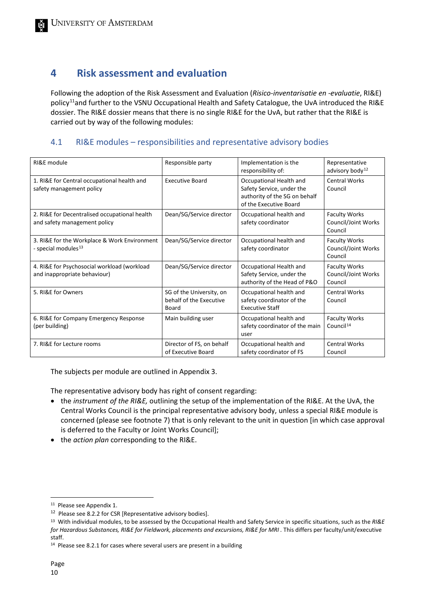# <span id="page-9-0"></span>**4 Risk assessment and evaluation**

Following the adoption of the Risk Assessment and Evaluation (*Risico-inventarisatie en -evaluatie*, RI&E) policy<sup>11</sup>and further to the VSNU Occupational Health and Safety Catalogue, the UvA introduced the RI&E dossier. The RI&E dossier means that there is no single RI&E for the UvA, but rather that the RI&E is carried out by way of the following modules:

## 4.1 RI&E modules – responsibilities and representative advisory bodies

| RI&E module                                                                     | Responsible party                                            | Implementation is the<br>responsibility of:                                                                     | Representative<br>advisory body <sup>12</sup>          |
|---------------------------------------------------------------------------------|--------------------------------------------------------------|-----------------------------------------------------------------------------------------------------------------|--------------------------------------------------------|
| 1. RI&E for Central occupational health and<br>safety management policy         | <b>Executive Board</b>                                       | Occupational Health and<br>Safety Service, under the<br>authority of the SG on behalf<br>of the Executive Board | <b>Central Works</b><br>Council                        |
| 2. RI&E for Decentralised occupational health<br>and safety management policy   | Dean/SG/Service director                                     | Occupational health and<br>safety coordinator                                                                   | <b>Faculty Works</b><br>Council/Joint Works<br>Council |
| 3. RI&E for the Workplace & Work Environment<br>- special modules <sup>13</sup> | Dean/SG/Service director                                     | Occupational health and<br>safety coordinator                                                                   | <b>Faculty Works</b><br>Council/Joint Works<br>Council |
| 4. RI&E for Psychosocial workload (workload<br>and inappropriate behaviour)     | Dean/SG/Service director                                     | Occupational Health and<br>Safety Service, under the<br>authority of the Head of P&O                            | <b>Faculty Works</b><br>Council/Joint Works<br>Council |
| 5. RI&E for Owners                                                              | SG of the University, on<br>behalf of the Executive<br>Board | Occupational health and<br>safety coordinator of the<br><b>Executive Staff</b>                                  | <b>Central Works</b><br>Council                        |
| 6. RI&E for Company Emergency Response<br>(per building)                        | Main building user                                           | Occupational health and<br>safety coordinator of the main<br>user                                               | <b>Faculty Works</b><br>Council <sup>14</sup>          |
| 7. RI&E for Lecture rooms                                                       | Director of FS, on behalf<br>of Executive Board              | Occupational health and<br>safety coordinator of FS                                                             | <b>Central Works</b><br>Council                        |

The subjects per module are outlined in Appendix 3.

The representative advisory body has right of consent regarding:

- the *instrument of the RI&E,* outlining the setup of the implementation of the RI&E. At the UvA, the Central Works Council is the principal representative advisory body, unless a special RI&E module is concerned (please see footnote 7) that is only relevant to the unit in question [in which case approval is deferred to the Faculty or Joint Works Council];
- the *action plan* corresponding to the RI&E.

<span id="page-9-1"></span><sup>11</sup> Please see Appendix 1.

<span id="page-9-2"></span><sup>&</sup>lt;sup>12</sup> Please see 8.2.2 for CSR [Representative advisory bodies].

<span id="page-9-3"></span><sup>13</sup> With individual modules, to be assessed by the Occupational Health and Safety Service in specific situations, such as the *RI&E for Hazardous Substances, RI&E for Fieldwork, placements and excursions, RI&E for MRI .* This differs per faculty/unit/executive staff.

<span id="page-9-4"></span><sup>&</sup>lt;sup>14</sup> Please see 8.2.1 for cases where several users are present in a building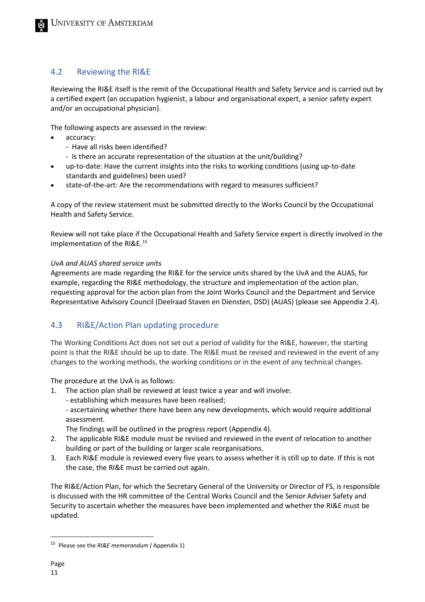## <span id="page-10-0"></span>4.2 Reviewing the RI&E

Reviewing the RI&E itself is the remit of the Occupational Health and Safety Service and is carried out by a certified expert (an occupation hygienist, a labour and organisational expert, a senior safety expert and/or an occupational physician).

The following aspects are assessed in the review:

- accuracy:
	- Have all risks been identified?
	- Is there an accurate representation of the situation at the unit/building?
- up-to-date: Have the current insights into the risks to working conditions (using up-to-date standards and guidelines) been used?
- state-of-the-art: Are the recommendations with regard to measures sufficient?

A copy of the review statement must be submitted directly to the Works Council by the Occupational Health and Safety Service.

Review will not take place if the Occupational Health and Safety Service expert is directly involved in the implementation of the RI&E.<sup>[15](#page-10-2)</sup>

#### *UvA and AUAS shared service units*

Agreements are made regarding the RI&E for the service units shared by the UvA and the AUAS, for example, regarding the RI&E methodology, the structure and implementation of the action plan, requesting approval for the action plan from the Joint Works Council and the Department and Service Representative Advisory Council (Deelraad Staven en Diensten, DSD) (AUAS) (please see Appendix 2.4).

## <span id="page-10-1"></span>4.3 RI&E/Action Plan updating procedure

The Working Conditions Act does not set out a period of validity for the RI&E, however, the starting point is that the RI&E should be up to date. The RI&E must be revised and reviewed in the event of any changes to the working methods, the working conditions or in the event of any technical changes.

The procedure at the UvA is as follows:

- 1. The action plan shall be reviewed at least twice a year and will involve:
	- establishing which measures have been realised;
	- ascertaining whether there have been any new developments, which would require additional assessment.

The findings will be outlined in the progress report (Appendix 4).

- 2. The applicable RI&E module must be revised and reviewed in the event of relocation to another building or part of the building or larger scale reorganisations.
- 3. Each RI&E module is reviewed every five years to assess whether it is still up to date. If this is not the case, the RI&E must be carried out again.

The RI&E/Action Plan, for which the Secretary General of the University or Director of FS, is responsible is discussed with the HR committee of the Central Works Council and the Senior Adviser Safety and Security to ascertain whether the measures have been implemented and whether the RI&E must be updated.

<span id="page-10-2"></span><sup>15</sup> Please see the *RI&E memorandum (* Appendix 1)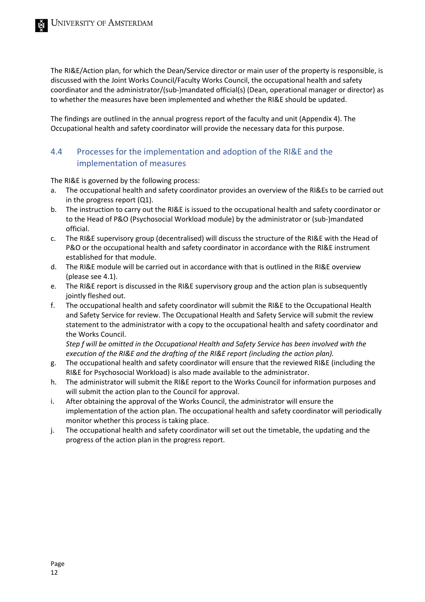The RI&E/Action plan, for which the Dean/Service director or main user of the property is responsible, is discussed with the Joint Works Council/Faculty Works Council, the occupational health and safety coordinator and the administrator/(sub-)mandated official(s) (Dean, operational manager or director) as to whether the measures have been implemented and whether the RI&E should be updated.

The findings are outlined in the annual progress report of the faculty and unit (Appendix 4). The Occupational health and safety coordinator will provide the necessary data for this purpose.

## <span id="page-11-0"></span>4.4 Processes for the implementation and adoption of the RI&E and the implementation of measures

The RI&E is governed by the following process:

- a. The occupational health and safety coordinator provides an overview of the RI&Es to be carried out in the progress report (Q1).
- b. The instruction to carry out the RI&E is issued to the occupational health and safety coordinator or to the Head of P&O (Psychosocial Workload module) by the administrator or (sub-)mandated official.
- c. The RI&E supervisory group (decentralised) will discuss the structure of the RI&E with the Head of P&O or the occupational health and safety coordinator in accordance with the RI&E instrument established for that module.
- d. The RI&E module will be carried out in accordance with that is outlined in the RI&E overview (please see 4.1).
- e. The RI&E report is discussed in the RI&E supervisory group and the action plan is subsequently jointly fleshed out.
- f. The occupational health and safety coordinator will submit the RI&E to the Occupational Health and Safety Service for review. The Occupational Health and Safety Service will submit the review statement to the administrator with a copy to the occupational health and safety coordinator and the Works Council.

*Step f will be omitted in the Occupational Health and Safety Service has been involved with the execution of the RI&E and the drafting of the RI&E report (including the action plan).*

- g. The occupational health and safety coordinator will ensure that the reviewed RI&E (including the RI&E for Psychosocial Workload) is also made available to the administrator.
- h. The administrator will submit the RI&E report to the Works Council for information purposes and will submit the action plan to the Council for approval.
- i. After obtaining the approval of the Works Council, the administrator will ensure the implementation of the action plan. The occupational health and safety coordinator will periodically monitor whether this process is taking place.
- <span id="page-11-1"></span>j. The occupational health and safety coordinator will set out the timetable, the updating and the progress of the action plan in the progress report.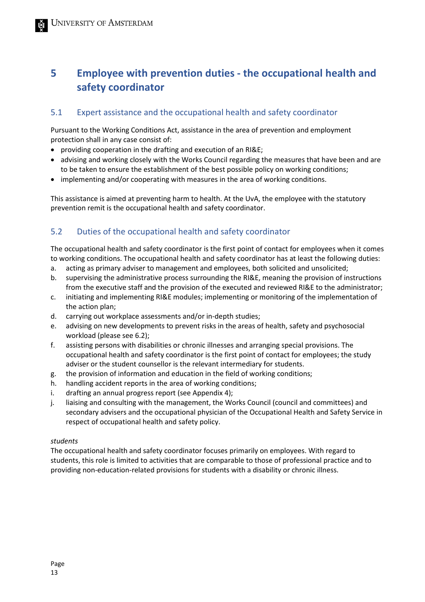# **5 Employee with prevention duties - the occupational health and safety coordinator**

## <span id="page-12-0"></span>5.1 Expert assistance and the occupational health and safety coordinator

Pursuant to the Working Conditions Act, assistance in the area of prevention and employment protection shall in any case consist of:

- providing cooperation in the drafting and execution of an RI&E;
- advising and working closely with the Works Council regarding the measures that have been and are to be taken to ensure the establishment of the best possible policy on working conditions;
- implementing and/or cooperating with measures in the area of working conditions.

This assistance is aimed at preventing harm to health. At the UvA, the employee with the statutory prevention remit is the occupational health and safety coordinator.

## <span id="page-12-1"></span>5.2 Duties of the occupational health and safety coordinator

The occupational health and safety coordinator is the first point of contact for employees when it comes to working conditions. The occupational health and safety coordinator has at least the following duties:

- a. acting as primary adviser to management and employees, both solicited and unsolicited;
- b. supervising the administrative process surrounding the RI&E, meaning the provision of instructions from the executive staff and the provision of the executed and reviewed RI&E to the administrator;
- c. initiating and implementing RI&E modules; implementing or monitoring of the implementation of the action plan;
- d. carrying out workplace assessments and/or in-depth studies;
- e. advising on new developments to prevent risks in the areas of health, safety and psychosocial workload (please see 6.2);
- f. assisting persons with disabilities or chronic illnesses and arranging special provisions. The occupational health and safety coordinator is the first point of contact for employees; the study adviser or the student counsellor is the relevant intermediary for students.
- g. the provision of information and education in the field of working conditions;
- h. handling accident reports in the area of working conditions;
- i. drafting an annual progress report (see Appendix 4);
- j. liaising and consulting with the management, the Works Council (council and committees) and secondary advisers and the occupational physician of the Occupational Health and Safety Service in respect of occupational health and safety policy.

#### *students*

The occupational health and safety coordinator focuses primarily on employees. With regard to students, this role is limited to activities that are comparable to those of professional practice and to providing non-education-related provisions for students with a disability or chronic illness.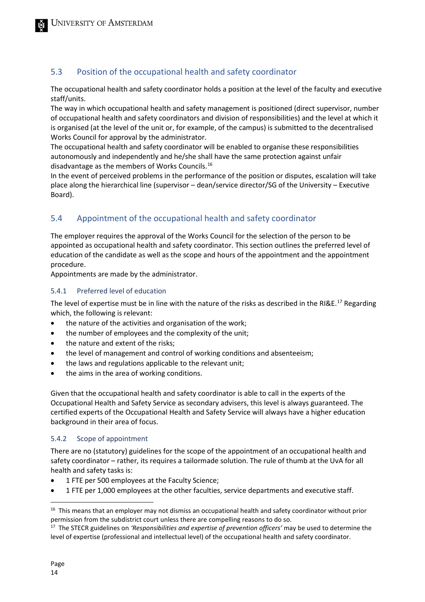## <span id="page-13-0"></span>5.3 Position of the occupational health and safety coordinator

The occupational health and safety coordinator holds a position at the level of the faculty and executive staff/units.

The way in which occupational health and safety management is positioned (direct supervisor, number of occupational health and safety coordinators and division of responsibilities) and the level at which it is organised (at the level of the unit or, for example, of the campus) is submitted to the decentralised Works Council for approval by the administrator.

The occupational health and safety coordinator will be enabled to organise these responsibilities autonomously and independently and he/she shall have the same protection against unfair disadvantage as the members of Works Councils.[16](#page-13-2)

In the event of perceived problems in the performance of the position or disputes, escalation will take place along the hierarchical line (supervisor – dean/service director/SG of the University – Executive Board).

## <span id="page-13-1"></span>5.4 Appointment of the occupational health and safety coordinator

The employer requires the approval of the Works Council for the selection of the person to be appointed as occupational health and safety coordinator. This section outlines the preferred level of education of the candidate as well as the scope and hours of the appointment and the appointment procedure.

Appointments are made by the administrator.

#### 5.4.1 Preferred level of education

The level of expertise must be in line with the nature of the risks as described in the RI&E.<sup>[17](#page-13-3)</sup> Regarding which, the following is relevant:

- the nature of the activities and organisation of the work;
- the number of employees and the complexity of the unit;
- the nature and extent of the risks;
- the level of management and control of working conditions and absenteeism;
- the laws and regulations applicable to the relevant unit;
- the aims in the area of working conditions.

Given that the occupational health and safety coordinator is able to call in the experts of the Occupational Health and Safety Service as secondary advisers, this level is always guaranteed. The certified experts of the Occupational Health and Safety Service will always have a higher education background in their area of focus.

#### 5.4.2 Scope of appointment

There are no (statutory) guidelines for the scope of the appointment of an occupational health and safety coordinator – rather, its requires a tailormade solution. The rule of thumb at the UvA for all health and safety tasks is:

- 1 FTE per 500 employees at the Faculty Science;
- 1 FTE per 1,000 employees at the other faculties, service departments and executive staff.

<span id="page-13-2"></span><sup>&</sup>lt;sup>16</sup> This means that an employer may not dismiss an occupational health and safety coordinator without prior permission from the subdistrict court unless there are compelling reasons to do so.

<span id="page-13-3"></span><sup>17</sup> The STECR guidelines on *'Responsibilities and expertise of prevention officers'* may be used to determine the level of expertise (professional and intellectual level) of the occupational health and safety coordinator.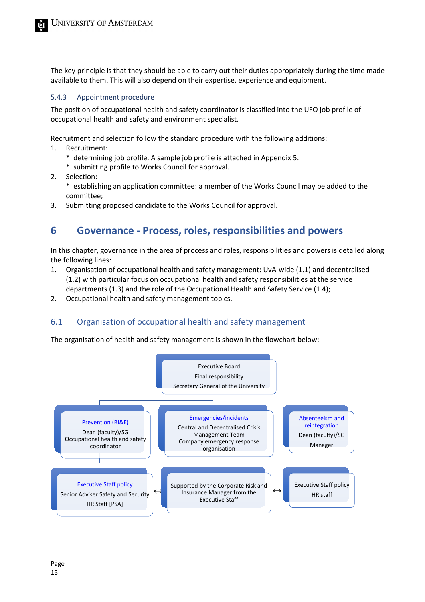The key principle is that they should be able to carry out their duties appropriately during the time made available to them. This will also depend on their expertise, experience and equipment.

#### 5.4.3 Appointment procedure

The position of occupational health and safety coordinator is classified into the UFO job profile of occupational health and safety and environment specialist.

Recruitment and selection follow the standard procedure with the following additions:

- 1. Recruitment:
	- \* determining job profile. A sample job profile is attached in Appendix 5.
	- \* submitting profile to Works Council for approval.
- 2. Selection:
	- \* establishing an application committee: a member of the Works Council may be added to the committee;
- <span id="page-14-0"></span>3. Submitting proposed candidate to the Works Council for approval.

# **6 Governance - Process, roles, responsibilities and powers**

In this chapter, governance in the area of process and roles, responsibilities and powers is detailed along the following lines*:*

- 1. Organisation of occupational health and safety management: UvA-wide (1.1) and decentralised (1.2) with particular focus on occupational health and safety responsibilities at the service departments (1.3) and the role of the Occupational Health and Safety Service (1.4);
- <span id="page-14-1"></span>2. Occupational health and safety management topics.

## 6.1 Organisation of occupational health and safety management

The organisation of health and safety management is shown in the flowchart below:

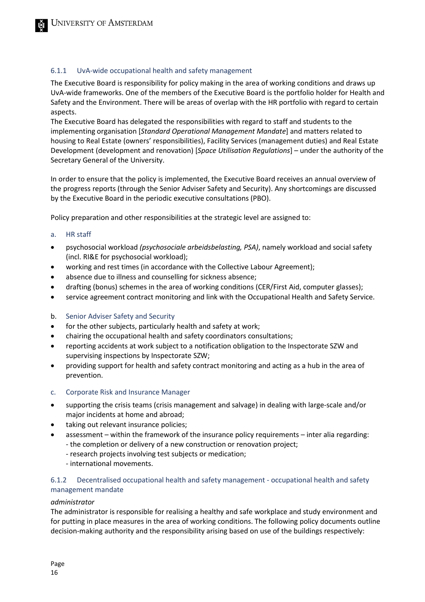#### 6.1.1 UvA-wide occupational health and safety management

The Executive Board is responsibility for policy making in the area of working conditions and draws up UvA-wide frameworks. One of the members of the Executive Board is the portfolio holder for Health and Safety and the Environment. There will be areas of overlap with the HR portfolio with regard to certain aspects.

The Executive Board has delegated the responsibilities with regard to staff and students to the implementing organisation [*Standard Operational Management Mandate*] and matters related to housing to Real Estate (owners' responsibilities), Facility Services (management duties) and Real Estate Development (development and renovation) [*Space Utilisation Regulations*] – under the authority of the Secretary General of the University.

In order to ensure that the policy is implemented, the Executive Board receives an annual overview of the progress reports (through the Senior Adviser Safety and Security). Any shortcomings are discussed by the Executive Board in the periodic executive consultations (PBO).

Policy preparation and other responsibilities at the strategic level are assigned to:

#### a. HR staff

- psychosocial workload *(psychosociale arbeidsbelasting, PSA)*, namely workload and social safety (incl. RI&E for psychosocial workload);
- working and rest times (in accordance with the Collective Labour Agreement);
- absence due to illness and counselling for sickness absence;
- drafting (bonus) schemes in the area of working conditions (CER/First Aid, computer glasses);
- service agreement contract monitoring and link with the Occupational Health and Safety Service.

#### b. Senior Adviser Safety and Security

- for the other subjects, particularly health and safety at work;
- chairing the occupational health and safety coordinators consultations;
- reporting accidents at work subject to a notification obligation to the Inspectorate SZW and supervising inspections by Inspectorate SZW;
- providing support for health and safety contract monitoring and acting as a hub in the area of prevention.
- c. Corporate Risk and Insurance Manager
- supporting the crisis teams (crisis management and salvage) in dealing with large-scale and/or major incidents at home and abroad;
- taking out relevant insurance policies;
	- assessment within the framework of the insurance policy requirements inter alia regarding:
		- the completion or delivery of a new construction or renovation project;
			- research projects involving test subjects or medication;
			- international movements.

#### 6.1.2 Decentralised occupational health and safety management - occupational health and safety management mandate

#### *administrator*

The administrator is responsible for realising a healthy and safe workplace and study environment and for putting in place measures in the area of working conditions. The following policy documents outline decision-making authority and the responsibility arising based on use of the buildings respectively: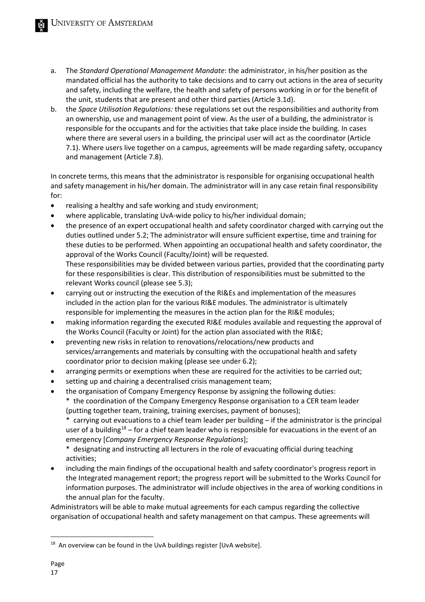- a. The *Standard Operational Management Mandate*: the administrator, in his/her position as the mandated official has the authority to take decisions and to carry out actions in the area of security and safety, including the welfare, the health and safety of persons working in or for the benefit of the unit, students that are present and other third parties (Article 3.1d).
- b. the *Space Utilisation Regulations:* these regulations set out the responsibilities and authority from an ownership, use and management point of view. As the user of a building, the administrator is responsible for the occupants and for the activities that take place inside the building. In cases where there are several users in a building, the principal user will act as the coordinator (Article 7.1). Where users live together on a campus, agreements will be made regarding safety, occupancy and management (Article 7.8).

In concrete terms, this means that the administrator is responsible for organising occupational health and safety management in his/her domain. The administrator will in any case retain final responsibility for:

- realising a healthy and safe working and study environment;
- where applicable, translating UvA-wide policy to his/her individual domain;
- the presence of an expert occupational health and safety coordinator charged with carrying out the duties outlined under 5.2; The administrator will ensure sufficient expertise, time and training for these duties to be performed. When appointing an occupational health and safety coordinator, the approval of the Works Council (Faculty/Joint) will be requested. These responsibilities may be divided between various parties, provided that the coordinating party for these responsibilities is clear. This distribution of responsibilities must be submitted to the relevant Works council (please see 5.3);
- carrying out or instructing the execution of the RI&Es and implementation of the measures included in the action plan for the various RI&E modules. The administrator is ultimately responsible for implementing the measures in the action plan for the RI&E modules;
- making information regarding the executed RI&E modules available and requesting the approval of the Works Council (Faculty or Joint) for the action plan associated with the RI&E;
- preventing new risks in relation to renovations/relocations/new products and services/arrangements and materials by consulting with the occupational health and safety coordinator prior to decision making (please see under 6.2);
- arranging permits or exemptions when these are required for the activities to be carried out;
- setting up and chairing a decentralised crisis management team;
- the organisation of Company Emergency Response by assigning the following duties: \* the coordination of the Company Emergency Response organisation to a CER team leader (putting together team, training, training exercises, payment of bonuses);

\* carrying out evacuations to a chief team leader per building – if the administrator is the principal user of a building<sup>[18](#page-16-0)</sup> – for a chief team leader who is responsible for evacuations in the event of an emergency [*Company Emergency Response Regulations*];

\* designating and instructing all lecturers in the role of evacuating official during teaching activities;

• including the main findings of the occupational health and safety coordinator's progress report in the Integrated management report; the progress report will be submitted to the Works Council for information purposes. The administrator will include objectives in the area of working conditions in the annual plan for the faculty.

Administrators will be able to make mutual agreements for each campus regarding the collective organisation of occupational health and safety management on that campus. These agreements will

<span id="page-16-0"></span><sup>&</sup>lt;sup>18</sup> An overview can be found in the UvA buildings register [UvA website].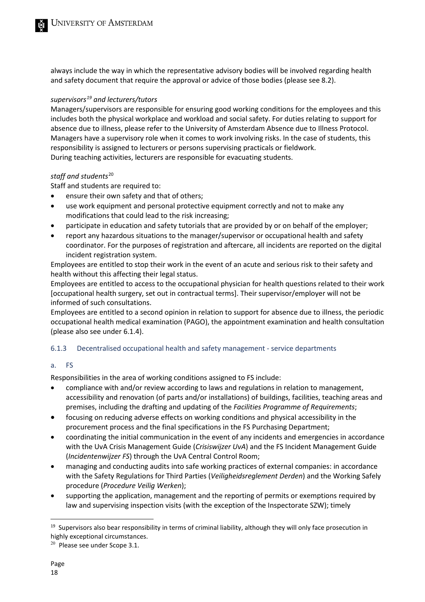always include the way in which the representative advisory bodies will be involved regarding health and safety document that require the approval or advice of those bodies (please see 8.2).

#### *supervisor[s19](#page-17-0) and lecturers/tutors*

Managers/supervisors are responsible for ensuring good working conditions for the employees and this includes both the physical workplace and workload and social safety. For duties relating to support for absence due to illness, please refer to the University of Amsterdam Absence due to Illness Protocol. Managers have a supervisory role when it comes to work involving risks. In the case of students, this responsibility is assigned to lecturers or persons supervising practicals or fieldwork. During teaching activities, lecturers are responsible for evacuating students.

#### *staff and students*[20](#page-17-1)

Staff and students are required to:

- ensure their own safety and that of others;
- use work equipment and personal protective equipment correctly and not to make any modifications that could lead to the risk increasing;
- participate in education and safety tutorials that are provided by or on behalf of the employer;
- report any hazardous situations to the manager/supervisor or occupational health and safety coordinator. For the purposes of registration and aftercare, all incidents are reported on the digital incident registration system.

Employees are entitled to stop their work in the event of an acute and serious risk to their safety and health without this affecting their legal status.

Employees are entitled to access to the occupational physician for health questions related to their work [occupational health surgery, set out in contractual terms]. Their supervisor/employer will not be informed of such consultations.

Employees are entitled to a second opinion in relation to support for absence due to illness, the periodic occupational health medical examination (PAGO), the appointment examination and health consultation (please also see under 6.1.4).

#### 6.1.3 Decentralised occupational health and safety management - service departments

#### a. FS

Responsibilities in the area of working conditions assigned to FS include:

- compliance with and/or review according to laws and regulations in relation to management, accessibility and renovation (of parts and/or installations) of buildings, facilities, teaching areas and premises, including the drafting and updating of the *Facilities Programme of Requirements*;
- focusing on reducing adverse effects on working conditions and physical accessibility in the procurement process and the final specifications in the FS Purchasing Department;
- coordinating the initial communication in the event of any incidents and emergencies in accordance with the UvA Crisis Management Guide (*Crisiswijzer UvA*) and the FS Incident Management Guide (*Incidentenwijzer FS*) through the UvA Central Control Room;
- managing and conducting audits into safe working practices of external companies: in accordance with the Safety Regulations for Third Parties (*Veiligheidsreglement Derden*) and the Working Safely procedure (*Procedure Veilig Werken*);
- supporting the application, management and the reporting of permits or exemptions required by law and supervising inspection visits (with the exception of the Inspectorate SZW); timely

<span id="page-17-0"></span><sup>&</sup>lt;sup>19</sup> Supervisors also bear responsibility in terms of criminal liability, although they will only face prosecution in highly exceptional circumstances.

<span id="page-17-1"></span><sup>20</sup> Please see under Scope 3.1.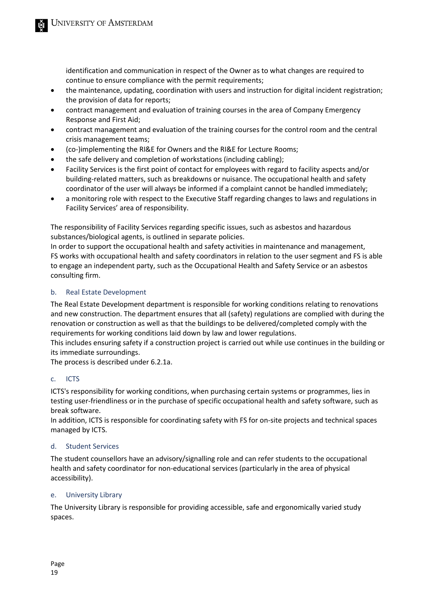identification and communication in respect of the Owner as to what changes are required to continue to ensure compliance with the permit requirements;

- the maintenance, updating, coordination with users and instruction for digital incident registration; the provision of data for reports;
- contract management and evaluation of training courses in the area of Company Emergency Response and First Aid;
- contract management and evaluation of the training courses for the control room and the central crisis management teams;
- (co-)implementing the RI&E for Owners and the RI&E for Lecture Rooms;
- the safe delivery and completion of workstations (including cabling);
- Facility Services is the first point of contact for employees with regard to facility aspects and/or building-related matters, such as breakdowns or nuisance. The occupational health and safety coordinator of the user will always be informed if a complaint cannot be handled immediately;
- a monitoring role with respect to the Executive Staff regarding changes to laws and regulations in Facility Services' area of responsibility.

The responsibility of Facility Services regarding specific issues, such as asbestos and hazardous substances/biological agents, is outlined in separate policies.

In order to support the occupational health and safety activities in maintenance and management, FS works with occupational health and safety coordinators in relation to the user segment and FS is able to engage an independent party, such as the Occupational Health and Safety Service or an asbestos consulting firm.

#### b. Real Estate Development

The Real Estate Development department is responsible for working conditions relating to renovations and new construction. The department ensures that all (safety) regulations are complied with during the renovation or construction as well as that the buildings to be delivered/completed comply with the requirements for working conditions laid down by law and lower regulations.

This includes ensuring safety if a construction project is carried out while use continues in the building or its immediate surroundings.

The process is described under 6.2.1a.

#### c. ICTS

ICTS's responsibility for working conditions, when purchasing certain systems or programmes, lies in testing user-friendliness or in the purchase of specific occupational health and safety software, such as break software.

In addition, ICTS is responsible for coordinating safety with FS for on-site projects and technical spaces managed by ICTS.

#### d. Student Services

The student counsellors have an advisory/signalling role and can refer students to the occupational health and safety coordinator for non-educational services (particularly in the area of physical accessibility).

#### e. University Library

The University Library is responsible for providing accessible, safe and ergonomically varied study spaces.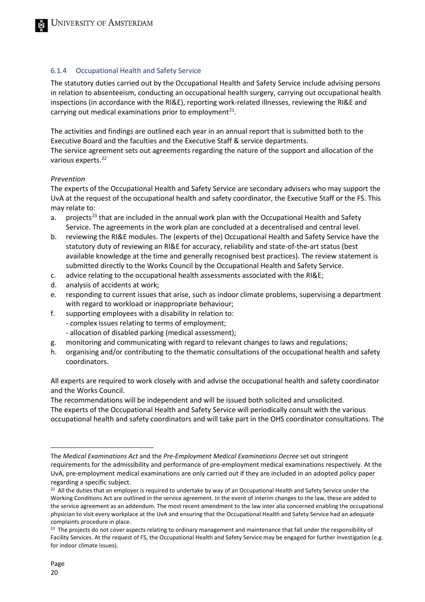#### 6.1.4 Occupational Health and Safety Service

The statutory duties carried out by the Occupational Health and Safety Service include advising persons in relation to absenteeism, conducting an occupational health surgery, carrying out occupational health inspections (in accordance with the RI&E), reporting work-related illnesses, reviewing the RI&E and carrying out medical examinations prior to employment<sup>21</sup>.

The activities and findings are outlined each year in an annual report that is submitted both to the Executive Board and the faculties and the Executive Staff & service departments.

The service agreement sets out agreements regarding the nature of the support and allocation of the various experts.<sup>22</sup>

#### *Prevention*

The experts of the Occupational Health and Safety Service are secondary advisers who may support the UvA at the request of the occupational health and safety coordinator, the Executive Staff or the FS. This may relate to:

- a. projects<sup>[23](#page-19-2)</sup> that are included in the annual work plan with the Occupational Health and Safety Service. The agreements in the work plan are concluded at a decentralised and central level.
- b. reviewing the RI&E modules. The (experts of the) Occupational Health and Safety Service have the statutory duty of reviewing an RI&E for accuracy, reliability and state-of-the-art status (best available knowledge at the time and generally recognised best practices). The review statement is submitted directly to the Works Council by the Occupational Health and Safety Service.
- c. advice relating to the occupational health assessments associated with the RI&E;
- d. analysis of accidents at work;
- e. responding to current issues that arise, such as indoor climate problems, supervising a department with regard to workload or inappropriate behaviour;
- f. supporting employees with a disability in relation to:
	- complex issues relating to terms of employment;
	- allocation of disabled parking (medical assessment);
- g. monitoring and communicating with regard to relevant changes to laws and regulations;
- h. organising and/or contributing to the thematic consultations of the occupational health and safety coordinators.

All experts are required to work closely with and advise the occupational health and safety coordinator and the Works Council.

The recommendations will be independent and will be issued both solicited and unsolicited. The experts of the Occupational Health and Safety Service will periodically consult with the various occupational health and safety coordinators and will take part in the OHS coordinator consultations. The

<span id="page-19-0"></span>The *Medical Examinations Act* and the *Pre-Employment Medical Examinations Decree* set out stringent requirements for the admissibility and performance of pre-employment medical examinations respectively. At the UvA, pre-employment medical examinations are only carried out if they are included in an adopted policy paper regarding a specific subject.

<span id="page-19-1"></span><sup>&</sup>lt;sup>22</sup> All the duties that an employer is required to undertake by way of an Occupational Health and Safety Service under the Working Conditions Act are outlined in the service agreement. In the event of interim changes to the law, these are added to the service agreement as an addendum. The most recent amendment to the law inter alia concerned enabling the occupational physician to visit every workplace at the UvA and ensuring that the Occupational Health and Safety Service had an adequate complaints procedure in place.

<span id="page-19-2"></span><sup>&</sup>lt;sup>23</sup> The projects do not cover aspects relating to ordinary management and maintenance that fall under the responsibility of Facility Services. At the request of FS, the Occupational Health and Safety Service may be engaged for further investigation (e.g. for indoor climate issues).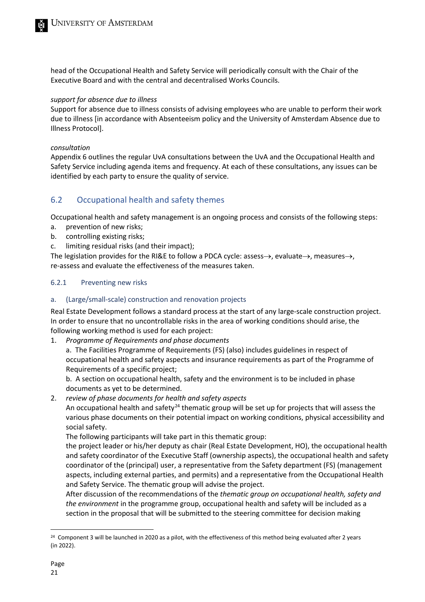head of the Occupational Health and Safety Service will periodically consult with the Chair of the Executive Board and with the central and decentralised Works Councils.

#### *support for absence due to illness*

Support for absence due to illness consists of advising employees who are unable to perform their work due to illness [in accordance with Absenteeism policy and the University of Amsterdam Absence due to Illness Protocol].

#### *consultation*

Appendix 6 outlines the regular UvA consultations between the UvA and the Occupational Health and Safety Service including agenda items and frequency. At each of these consultations, any issues can be identified by each party to ensure the quality of service.

## <span id="page-20-0"></span>6.2 Occupational health and safety themes

Occupational health and safety management is an ongoing process and consists of the following steps:

- a. prevention of new risks;
- b. controlling existing risks;
- c. limiting residual risks (and their impact);

The legislation provides for the RI&E to follow a PDCA cycle: assess→, evaluate→, measures→, re-assess and evaluate the effectiveness of the measures taken.

#### 6.2.1 Preventing new risks

#### a. (Large/small-scale) construction and renovation projects

Real Estate Development follows a standard process at the start of any large-scale construction project. In order to ensure that no uncontrollable risks in the area of working conditions should arise, the following working method is used for each project:

1. *Programme of Requirements and phase documents*

a. The Facilities Programme of Requirements (FS) (also) includes guidelines in respect of occupational health and safety aspects and insurance requirements as part of the Programme of Requirements of a specific project;

b. A section on occupational health, safety and the environment is to be included in phase documents as yet to be determined.

#### 2. *review of phase documents for health and safety aspects*

An occupational health and safety<sup>[24](#page-20-1)</sup> thematic group will be set up for projects that will assess the various phase documents on their potential impact on working conditions, physical accessibility and social safety.

The following participants will take part in this thematic group:

the project leader or his/her deputy as chair (Real Estate Development, HO), the occupational health and safety coordinator of the Executive Staff (ownership aspects), the occupational health and safety coordinator of the (principal) user, a representative from the Safety department (FS) (management aspects, including external parties, and permits) and a representative from the Occupational Health and Safety Service. The thematic group will advise the project.

After discussion of the recommendations of the *thematic group on occupational health, safety and the environment* in the programme group, occupational health and safety will be included as a section in the proposal that will be submitted to the steering committee for decision making

<span id="page-20-1"></span><sup>&</sup>lt;sup>24</sup> Component 3 will be launched in 2020 as a pilot, with the effectiveness of this method being evaluated after 2 years (in 2022).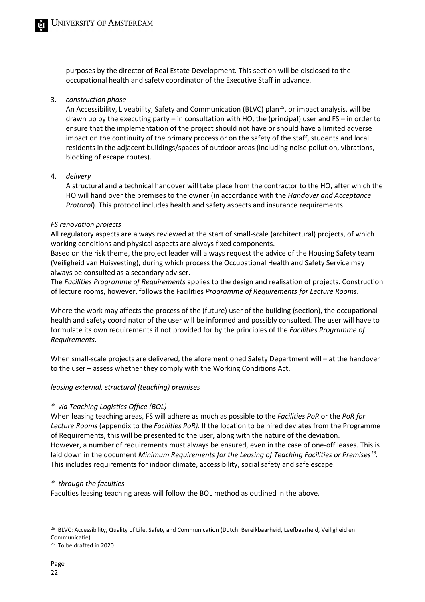purposes by the director of Real Estate Development. This section will be disclosed to the occupational health and safety coordinator of the Executive Staff in advance.

#### 3. *construction phase*

An Accessibility, Liveability, Safety and Communication (BLVC) plan<sup>25</sup>, or impact analysis, will be drawn up by the executing party – in consultation with HO, the (principal) user and FS – in order to ensure that the implementation of the project should not have or should have a limited adverse impact on the continuity of the primary process or on the safety of the staff, students and local residents in the adjacent buildings/spaces of outdoor areas (including noise pollution, vibrations, blocking of escape routes).

#### 4. *delivery*

A structural and a technical handover will take place from the contractor to the HO, after which the HO will hand over the premises to the owner (in accordance with the *Handover and Acceptance Protocol*). This protocol includes health and safety aspects and insurance requirements.

#### *FS renovation projects*

All regulatory aspects are always reviewed at the start of small-scale (architectural) projects, of which working conditions and physical aspects are always fixed components.

Based on the risk theme, the project leader will always request the advice of the Housing Safety team (Veiligheid van Huisvesting), during which process the Occupational Health and Safety Service may always be consulted as a secondary adviser.

The *Facilities Programme of Requirements* applies to the design and realisation of projects. Construction of lecture rooms, however, follows the Facilities *Programme of Requirements for Lecture Rooms*.

Where the work may affects the process of the (future) user of the building (section), the occupational health and safety coordinator of the user will be informed and possibly consulted. The user will have to formulate its own requirements if not provided for by the principles of the *Facilities Programme of Requirements*.

When small-scale projects are delivered, the aforementioned Safety Department will – at the handover to the user – assess whether they comply with the Working Conditions Act.

#### *leasing external, structural (teaching) premises*

#### *\* via Teaching Logistics Office (BOL)*

When leasing teaching areas, FS will adhere as much as possible to the *Facilities PoR* or the *PoR for Lecture Rooms* (appendix to the *Facilities PoR)*. If the location to be hired deviates from the Programme of Requirements, this will be presented to the user, along with the nature of the deviation. However, a number of requirements must always be ensured, even in the case of one-off leases. This is laid down in the document *Minimum Requirements for the Leasing of Teaching Facilities or Premises[26.](#page-21-1)* This includes requirements for indoor climate, accessibility, social safety and safe escape.

#### *\* through the faculties*

Faculties leasing teaching areas will follow the BOL method as outlined in the above.

<span id="page-21-0"></span><sup>&</sup>lt;sup>25</sup> BLVC: Accessibility, Quality of Life, Safety and Communication (Dutch: Bereikbaarheid, Leefbaarheid, Veiligheid en Communicatie)

<span id="page-21-1"></span><sup>26</sup> To be drafted in 2020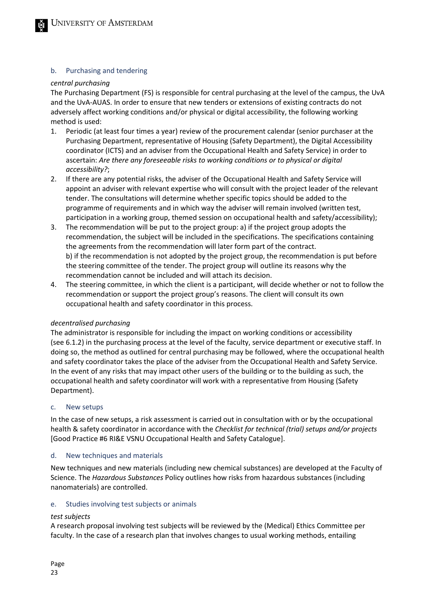#### b. Purchasing and tendering

#### *central purchasing*

The Purchasing Department (FS) is responsible for central purchasing at the level of the campus, the UvA and the UvA-AUAS. In order to ensure that new tenders or extensions of existing contracts do not adversely affect working conditions and/or physical or digital accessibility, the following working method is used:

- 1. Periodic (at least four times a year) review of the procurement calendar (senior purchaser at the Purchasing Department, representative of Housing (Safety Department), the Digital Accessibility coordinator (ICTS) and an adviser from the Occupational Health and Safety Service) in order to ascertain: *Are there any foreseeable risks to working conditions or to physical or digital accessibility?*;
- 2. If there are any potential risks, the adviser of the Occupational Health and Safety Service will appoint an adviser with relevant expertise who will consult with the project leader of the relevant tender. The consultations will determine whether specific topics should be added to the programme of requirements and in which way the adviser will remain involved (written test, participation in a working group, themed session on occupational health and safety/accessibility);
- 3. The recommendation will be put to the project group: a) if the project group adopts the recommendation, the subject will be included in the specifications. The specifications containing the agreements from the recommendation will later form part of the contract. b) if the recommendation is not adopted by the project group, the recommendation is put before the steering committee of the tender. The project group will outline its reasons why the recommendation cannot be included and will attach its decision.
- 4. The steering committee, in which the client is a participant, will decide whether or not to follow the recommendation or support the project group's reasons. The client will consult its own occupational health and safety coordinator in this process.

#### *decentralised purchasing*

The administrator is responsible for including the impact on working conditions or accessibility (see 6.1.2) in the purchasing process at the level of the faculty, service department or executive staff. In doing so, the method as outlined for central purchasing may be followed, where the occupational health and safety coordinator takes the place of the adviser from the Occupational Health and Safety Service. In the event of any risks that may impact other users of the building or to the building as such, the occupational health and safety coordinator will work with a representative from Housing (Safety Department).

#### c. New setups

In the case of new setups, a risk assessment is carried out in consultation with or by the occupational health & safety coordinator in accordance with the *Checklist for technical (trial) setups and/or projects*  [Good Practice #6 RI&E VSNU Occupational Health and Safety Catalogue].

#### d. New techniques and materials

New techniques and new materials (including new chemical substances) are developed at the Faculty of Science. The *Hazardous Substances* Policy outlines how risks from hazardous substances (including nanomaterials) are controlled.

#### e. Studies involving test subjects or animals

#### *test subjects*

A research proposal involving test subjects will be reviewed by the (Medical) Ethics Committee per faculty. In the case of a research plan that involves changes to usual working methods, entailing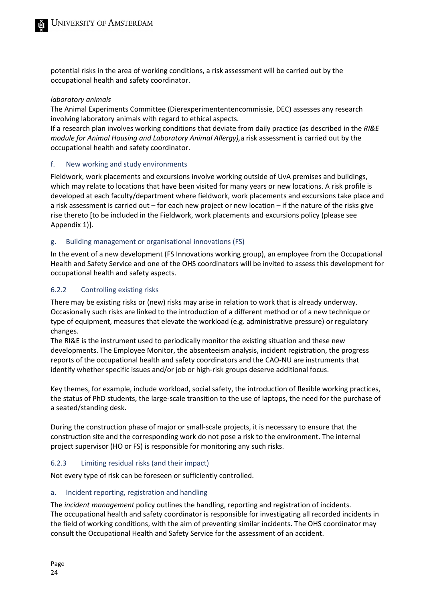potential risks in the area of working conditions, a risk assessment will be carried out by the occupational health and safety coordinator.

#### *laboratory animals*

The Animal Experiments Committee (Dierexperimententencommissie, DEC) assesses any research involving laboratory animals with regard to ethical aspects.

If a research plan involves working conditions that deviate from daily practice (as described in the *RI&E module for Animal Housing and Laboratory Animal Allergy),*a risk assessment is carried out by the occupational health and safety coordinator.

#### f. New working and study environments

Fieldwork, work placements and excursions involve working outside of UvA premises and buildings, which may relate to locations that have been visited for many years or new locations. A risk profile is developed at each faculty/department where fieldwork, work placements and excursions take place and a risk assessment is carried out – for each new project or new location – if the nature of the risks give rise thereto [to be included in the Fieldwork, work placements and excursions policy (please see Appendix 1)].

#### g. Building management or organisational innovations (FS)

In the event of a new development (FS Innovations working group), an employee from the Occupational Health and Safety Service and one of the OHS coordinators will be invited to assess this development for occupational health and safety aspects.

#### 6.2.2 Controlling existing risks

There may be existing risks or (new) risks may arise in relation to work that is already underway. Occasionally such risks are linked to the introduction of a different method or of a new technique or type of equipment, measures that elevate the workload (e.g. administrative pressure) or regulatory changes.

The RI&E is the instrument used to periodically monitor the existing situation and these new developments. The Employee Monitor, the absenteeism analysis, incident registration, the progress reports of the occupational health and safety coordinators and the CAO-NU are instruments that identify whether specific issues and/or job or high-risk groups deserve additional focus.

Key themes, for example, include workload, social safety, the introduction of flexible working practices, the status of PhD students, the large-scale transition to the use of laptops, the need for the purchase of a seated/standing desk.

During the construction phase of major or small-scale projects, it is necessary to ensure that the construction site and the corresponding work do not pose a risk to the environment. The internal project supervisor (HO or FS) is responsible for monitoring any such risks.

#### 6.2.3 Limiting residual risks (and their impact)

Not every type of risk can be foreseen or sufficiently controlled.

#### a. Incident reporting, registration and handling

The *incident management* policy outlines the handling, reporting and registration of incidents. The occupational health and safety coordinator is responsible for investigating all recorded incidents in the field of working conditions, with the aim of preventing similar incidents. The OHS coordinator may consult the Occupational Health and Safety Service for the assessment of an accident.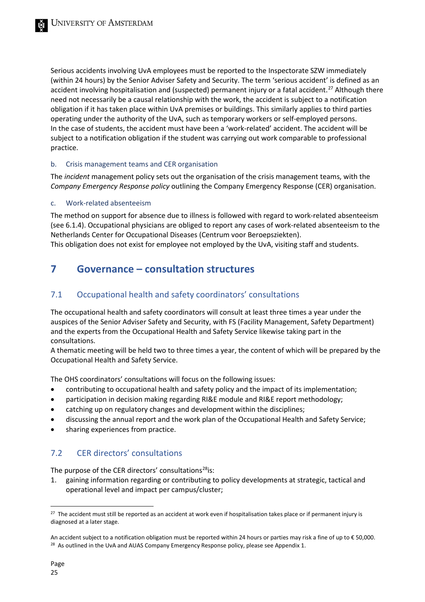Serious accidents involving UvA employees must be reported to the Inspectorate SZW immediately (within 24 hours) by the Senior Adviser Safety and Security. The term 'serious accident' is defined as an accident involving hospitalisation and (suspected) permanent injury or a fatal accident.<sup>[27](#page-24-3)</sup> Although there need not necessarily be a causal relationship with the work, the accident is subject to a notification obligation if it has taken place within UvA premises or buildings. This similarly applies to third parties operating under the authority of the UvA, such as temporary workers or self-employed persons. In the case of students, the accident must have been a 'work-related' accident. The accident will be subject to a notification obligation if the student was carrying out work comparable to professional practice.

#### b. Crisis management teams and CER organisation

The *incident* management policy sets out the organisation of the crisis management teams, with the *Company Emergency Response policy* outlining the Company Emergency Response (CER) organisation.

#### c. Work-related absenteeism

The method on support for absence due to illness is followed with regard to work-related absenteeism (see 6.1.4). Occupational physicians are obliged to report any cases of work-related absenteeism to the Netherlands Center for Occupational Diseases (Centrum voor Beroepsziekten).

<span id="page-24-0"></span>This obligation does not exist for employee not employed by the UvA, visiting staff and students.

## **7 Governance – consultation structures**

## <span id="page-24-1"></span>7.1 Occupational health and safety coordinators' consultations

The occupational health and safety coordinators will consult at least three times a year under the auspices of the Senior Adviser Safety and Security, with FS (Facility Management, Safety Department) and the experts from the Occupational Health and Safety Service likewise taking part in the consultations.

A thematic meeting will be held two to three times a year, the content of which will be prepared by the Occupational Health and Safety Service.

The OHS coordinators' consultations will focus on the following issues:

- contributing to occupational health and safety policy and the impact of its implementation;
- participation in decision making regarding RI&E module and RI&E report methodology;
- catching up on regulatory changes and development within the disciplines;
- discussing the annual report and the work plan of the Occupational Health and Safety Service;
- <span id="page-24-2"></span>• sharing experiences from practice.

## 7.2 CER directors' consultations

The purpose of the CER directors' consultations<sup>28</sup>is:

1. gaining information regarding or contributing to policy developments at strategic, tactical and operational level and impact per campus/cluster;

<span id="page-24-3"></span><sup>&</sup>lt;sup>27</sup> The accident must still be reported as an accident at work even if hospitalisation takes place or if permanent injury is diagnosed at a later stage.

<span id="page-24-4"></span>An accident subject to a notification obligation must be reported within 24 hours or parties may risk a fine of up to € 50,000. <sup>28</sup> As outlined in the UvA and AUAS Company Emergency Response policy, please see Appendix 1.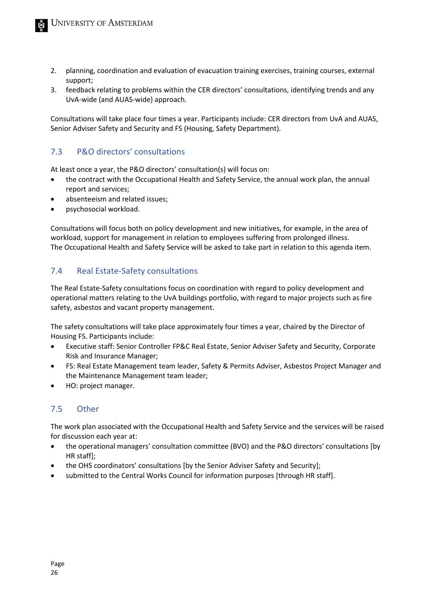- 2. planning, coordination and evaluation of evacuation training exercises, training courses, external support;
- 3. feedback relating to problems within the CER directors' consultations, identifying trends and any UvA-wide (and AUAS-wide) approach.

Consultations will take place four times a year. Participants include: CER directors from UvA and AUAS, Senior Adviser Safety and Security and FS (Housing, Safety Department).

## <span id="page-25-0"></span>7.3 P&O directors' consultations

At least once a year, the P&O directors' consultation(s) will focus on:

- the contract with the Occupational Health and Safety Service, the annual work plan, the annual report and services;
- absenteeism and related issues;
- psychosocial workload.

Consultations will focus both on policy development and new initiatives, for example, in the area of workload, support for management in relation to employees suffering from prolonged illness. The Occupational Health and Safety Service will be asked to take part in relation to this agenda item.

## <span id="page-25-1"></span>7.4 Real Estate-Safety consultations

The Real Estate-Safety consultations focus on coordination with regard to policy development and operational matters relating to the UvA buildings portfolio, with regard to major projects such as fire safety, asbestos and vacant property management.

The safety consultations will take place approximately four times a year, chaired by the Director of Housing FS. Participants include:

- Executive staff: Senior Controller FP&C Real Estate, Senior Adviser Safety and Security, Corporate Risk and Insurance Manager;
- FS: Real Estate Management team leader, Safety & Permits Adviser, Asbestos Project Manager and the Maintenance Management team leader;
- <span id="page-25-2"></span>• HO: project manager.

## 7.5 Other

The work plan associated with the Occupational Health and Safety Service and the services will be raised for discussion each year at:

- the operational managers' consultation committee (BVO) and the P&O directors' consultations [by HR staff];
- the OHS coordinators' consultations [by the Senior Adviser Safety and Security];
- submitted to the Central Works Council for information purposes [through HR staff].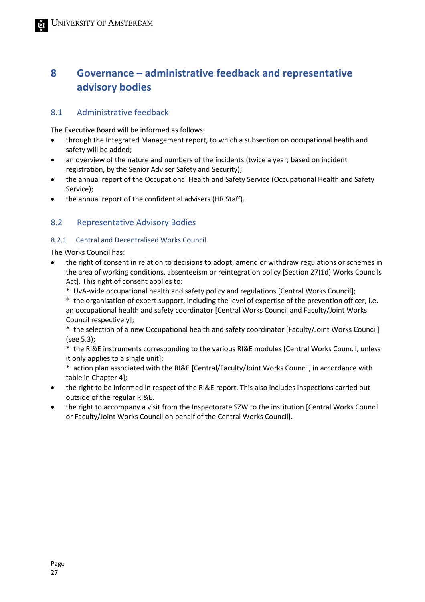# <span id="page-26-0"></span>**8 Governance – administrative feedback and representative advisory bodies**

### <span id="page-26-1"></span>8.1 Administrative feedback

The Executive Board will be informed as follows:

- through the Integrated Management report, to which a subsection on occupational health and safety will be added;
- an overview of the nature and numbers of the incidents (twice a year; based on incident registration, by the Senior Adviser Safety and Security);
- the annual report of the Occupational Health and Safety Service (Occupational Health and Safety Service);
- <span id="page-26-2"></span>• the annual report of the confidential advisers (HR Staff).

## 8.2 Representative Advisory Bodies

#### 8.2.1 Central and Decentralised Works Council

The Works Council has:

- the right of consent in relation to decisions to adopt, amend or withdraw regulations or schemes in the area of working conditions, absenteeism or reintegration policy [Section 27(1d) Works Councils Act]. This right of consent applies to:
	- \* UvA-wide occupational health and safety policy and regulations [Central Works Council];

\* the organisation of expert support, including the level of expertise of the prevention officer, i.e. an occupational health and safety coordinator [Central Works Council and Faculty/Joint Works Council respectively];

\* the selection of a new Occupational health and safety coordinator [Faculty/Joint Works Council] (see 5.3);

\* the RI&E instruments corresponding to the various RI&E modules [Central Works Council, unless it only applies to a single unit];

\* action plan associated with the RI&E [Central/Faculty/Joint Works Council, in accordance with table in Chapter 4];

- the right to be informed in respect of the RI&E report. This also includes inspections carried out outside of the regular RI&E.
- the right to accompany a visit from the Inspectorate SZW to the institution [Central Works Council or Faculty/Joint Works Council on behalf of the Central Works Council].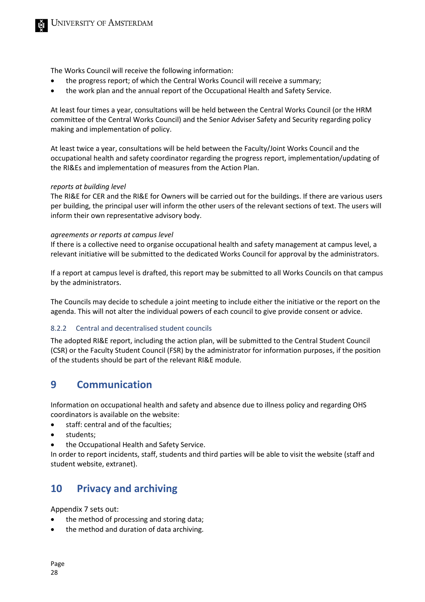The Works Council will receive the following information:

- the progress report; of which the Central Works Council will receive a summary;
- the work plan and the annual report of the Occupational Health and Safety Service.

At least four times a year, consultations will be held between the Central Works Council (or the HRM committee of the Central Works Council) and the Senior Adviser Safety and Security regarding policy making and implementation of policy.

At least twice a year, consultations will be held between the Faculty/Joint Works Council and the occupational health and safety coordinator regarding the progress report, implementation/updating of the RI&Es and implementation of measures from the Action Plan.

#### *reports at building level*

The RI&E for CER and the RI&E for Owners will be carried out for the buildings. If there are various users per building, the principal user will inform the other users of the relevant sections of text. The users will inform their own representative advisory body.

#### *agreements or reports at campus level*

If there is a collective need to organise occupational health and safety management at campus level, a relevant initiative will be submitted to the dedicated Works Council for approval by the administrators.

If a report at campus level is drafted, this report may be submitted to all Works Councils on that campus by the administrators.

The Councils may decide to schedule a joint meeting to include either the initiative or the report on the agenda. This will not alter the individual powers of each council to give provide consent or advice.

#### 8.2.2 Central and decentralised student councils

The adopted RI&E report, including the action plan, will be submitted to the Central Student Council (CSR) or the Faculty Student Council (FSR) by the administrator for information purposes, if the position of the students should be part of the relevant RI&E module.

## <span id="page-27-0"></span>**9 Communication**

Information on occupational health and safety and absence due to illness policy and regarding OHS coordinators is available on the website:

- staff: central and of the faculties;
- students;
- the Occupational Health and Safety Service.

In order to report incidents, staff, students and third parties will be able to visit the website (staff and student website, extranet).

## <span id="page-27-1"></span>**10 Privacy and archiving**

Appendix 7 sets out:

- the method of processing and storing data;
- the method and duration of data archiving.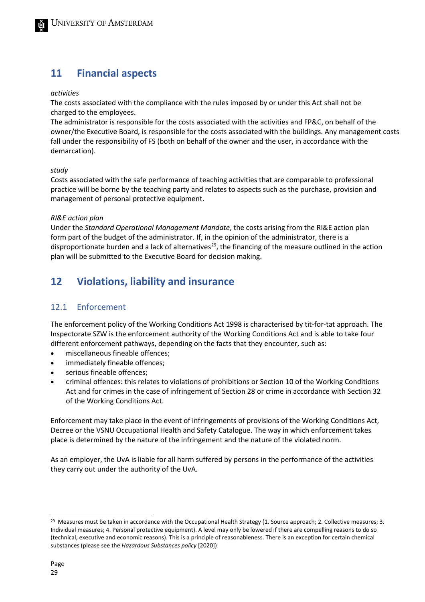# <span id="page-28-0"></span>**11 Financial aspects**

#### *activities*

The costs associated with the compliance with the rules imposed by or under this Act shall not be charged to the employees.

The administrator is responsible for the costs associated with the activities and FP&C, on behalf of the owner/the Executive Board, is responsible for the costs associated with the buildings. Any management costs fall under the responsibility of FS (both on behalf of the owner and the user, in accordance with the demarcation).

#### *study*

Costs associated with the safe performance of teaching activities that are comparable to professional practice will be borne by the teaching party and relates to aspects such as the purchase, provision and management of personal protective equipment.

#### *RI&E action plan*

Under the *Standard Operational Management Mandate*, the costs arising from the RI&E action plan form part of the budget of the administrator. If, in the opinion of the administrator, there is a disproportionate burden and a lack of alternatives<sup>29</sup>, the financing of the measure outlined in the action plan will be submitted to the Executive Board for decision making.

# <span id="page-28-1"></span>**12 Violations, liability and insurance**

## <span id="page-28-2"></span>12.1 Enforcement

The enforcement policy of the Working Conditions Act 1998 is characterised by tit-for-tat approach. The Inspectorate SZW is the enforcement authority of the Working Conditions Act and is able to take four different enforcement pathways, depending on the facts that they encounter, such as:

- miscellaneous fineable offences;
- immediately fineable offences;
- serious fineable offences;
- criminal offences: this relates to violations of prohibitions or Section 10 of the Working Conditions Act and for crimes in the case of infringement of Section 28 or crime in accordance with Section 32 of the Working Conditions Act.

Enforcement may take place in the event of infringements of provisions of the Working Conditions Act, Decree or the VSNU Occupational Health and Safety Catalogue. The way in which enforcement takes place is determined by the nature of the infringement and the nature of the violated norm.

As an employer, the UvA is liable for all harm suffered by persons in the performance of the activities they carry out under the authority of the UvA.

<span id="page-28-3"></span> $29$  Measures must be taken in accordance with the Occupational Health Strategy (1. Source approach; 2. Collective measures; 3. Individual measures; 4. Personal protective equipment). A level may only be lowered if there are compelling reasons to do so (technical, executive and economic reasons). This is a principle of reasonableness. There is an exception for certain chemical substances (please see the *Hazardous Substances policy* [2020])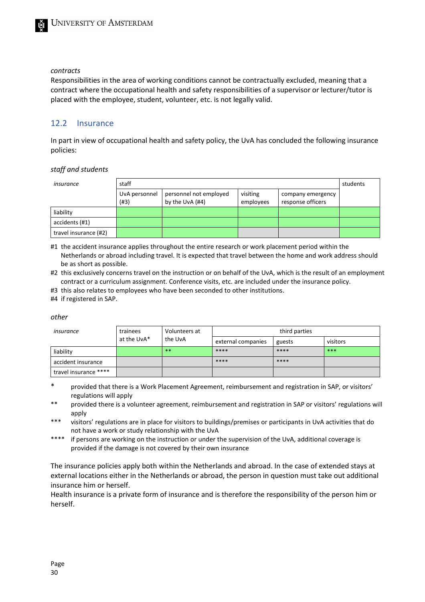#### *contracts*

Responsibilities in the area of working conditions cannot be contractually excluded, meaning that a contract where the occupational health and safety responsibilities of a supervisor or lecturer/tutor is placed with the employee, student, volunteer, etc. is not legally valid.

#### <span id="page-29-0"></span>12.2 Insurance

In part in view of occupational health and safety policy, the UvA has concluded the following insurance policies:

#### *staff and students*

| staff<br>insurance    |                       |                                           |                       |                                        | students |
|-----------------------|-----------------------|-------------------------------------------|-----------------------|----------------------------------------|----------|
|                       | UvA personnel<br>(H3) | personnel not employed<br>by the UvA (#4) | visiting<br>employees | company emergency<br>response officers |          |
| liability             |                       |                                           |                       |                                        |          |
| accidents (#1)        |                       |                                           |                       |                                        |          |
| travel insurance (#2) |                       |                                           |                       |                                        |          |

#1 the accident insurance applies throughout the entire research or work placement period within the Netherlands or abroad including travel. It is expected that travel between the home and work address should be as short as possible.

#2 this exclusively concerns travel on the instruction or on behalf of the UvA, which is the result of an employment contract or a curriculum assignment. Conference visits, etc. are included under the insurance policy.

#3 this also relates to employees who have been seconded to other institutions.

#4 if registered in SAP.

#### *other*

| trainees<br>insurance |             | Volunteers at | third parties      |        |          |  |
|-----------------------|-------------|---------------|--------------------|--------|----------|--|
|                       | at the UvA* | the UvA       | external companies | guests | visitors |  |
| liability             |             | **            | ****               | ****   | ***      |  |
| accident insurance    |             |               | ****               | ****   |          |  |
| travel insurance **** |             |               |                    |        |          |  |

provided that there is a Work Placement Agreement, reimbursement and registration in SAP, or visitors' regulations will apply

- \*\* provided there is a volunteer agreement, reimbursement and registration in SAP or visitors' regulations will apply
- \*\*\* visitors' regulations are in place for visitors to buildings/premises or participants in UvA activities that do not have a work or study relationship with the UvA
- \*\*\*\* if persons are working on the instruction or under the supervision of the UvA, additional coverage is provided if the damage is not covered by their own insurance

The insurance policies apply both within the Netherlands and abroad. In the case of extended stays at external locations either in the Netherlands or abroad, the person in question must take out additional insurance him or herself.

Health insurance is a private form of insurance and is therefore the responsibility of the person him or herself.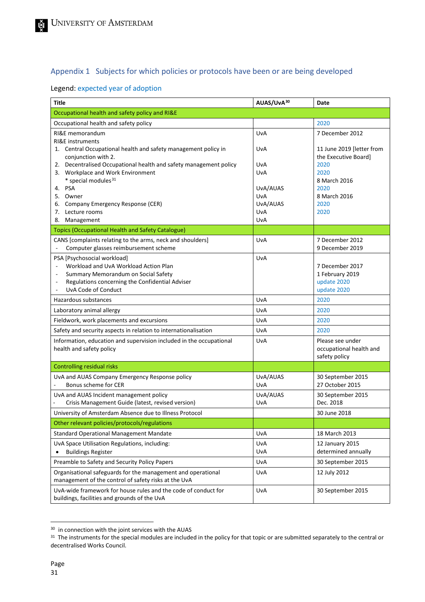## <span id="page-30-0"></span>Appendix 1 Subjects for which policies or protocols have been or are being developed

## Legend: expected year of adoption

| <b>Title</b>                                                                                                         | AUAS/UvA30      | Date                                              |
|----------------------------------------------------------------------------------------------------------------------|-----------------|---------------------------------------------------|
| Occupational health and safety policy and RI&E                                                                       |                 |                                                   |
| Occupational health and safety policy                                                                                |                 | 2020                                              |
| RI&E memorandum<br><b>RI&amp;E</b> instruments                                                                       | UvA             | 7 December 2012                                   |
| 1. Central Occupational health and safety management policy in<br>conjunction with 2.                                | UvA             | 11 June 2019 [letter from<br>the Executive Board] |
| 2. Decentralised Occupational health and safety management policy                                                    | UvA             | 2020                                              |
| 3. Workplace and Work Environment                                                                                    | UvA             | 2020                                              |
| * special modules <sup>31</sup>                                                                                      |                 | 8 March 2016                                      |
| 4. PSA                                                                                                               | UvA/AUAS        | 2020                                              |
| 5. Owner<br>6. Company Emergency Response (CER)                                                                      | UvA<br>UvA/AUAS | 8 March 2016<br>2020                              |
| 7. Lecture rooms                                                                                                     | UvA             | 2020                                              |
| Management<br>8.                                                                                                     | UvA             |                                                   |
| <b>Topics (Occupational Health and Safety Catalogue)</b>                                                             |                 |                                                   |
| CANS [complaints relating to the arms, neck and shoulders]<br>Computer glasses reimbursement scheme                  | UvA             | 7 December 2012<br>9 December 2019                |
| PSA [Psychosocial workload]                                                                                          | UvA             |                                                   |
| Workload and UvA Workload Action Plan                                                                                |                 | 7 December 2017                                   |
| Summary Memorandum on Social Safety<br>$\overline{\phantom{a}}$                                                      |                 | 1 February 2019                                   |
| Regulations concerning the Confidential Adviser<br>$\overline{a}$                                                    |                 | update 2020                                       |
| UvA Code of Conduct                                                                                                  |                 | update 2020                                       |
| Hazardous substances                                                                                                 | UvA             | 2020                                              |
| Laboratory animal allergy                                                                                            | UvA             | 2020                                              |
| Fieldwork, work placements and excursions                                                                            | UvA             | 2020                                              |
| Safety and security aspects in relation to internationalisation                                                      | UvA             | 2020                                              |
| Information, education and supervision included in the occupational                                                  | UvA             | Please see under                                  |
| health and safety policy                                                                                             |                 | occupational health and                           |
|                                                                                                                      |                 | safety policy                                     |
| <b>Controlling residual risks</b>                                                                                    |                 |                                                   |
| UvA and AUAS Company Emergency Response policy<br>Bonus scheme for CER                                               | UvA/AUAS<br>UvA | 30 September 2015<br>27 October 2015              |
| UvA and AUAS Incident management policy<br>Crisis Management Guide (latest, revised version)                         | UvA/AUAS<br>UvA | 30 September 2015<br>Dec. 2018                    |
| University of Amsterdam Absence due to Illness Protocol                                                              |                 | 30 June 2018                                      |
| Other relevant policies/protocols/regulations                                                                        |                 |                                                   |
| <b>Standard Operational Management Mandate</b>                                                                       | UvA             | 18 March 2013                                     |
| UvA Space Utilisation Regulations, including:                                                                        | UvA             | 12 January 2015                                   |
| <b>Buildings Register</b>                                                                                            | UvA             | determined annually                               |
| Preamble to Safety and Security Policy Papers                                                                        | UvA             | 30 September 2015                                 |
| Organisational safeguards for the management and operational<br>management of the control of safety risks at the UvA | UvA             | 12 July 2012                                      |
| UvA-wide framework for house rules and the code of conduct for<br>buildings, facilities and grounds of the UvA       | UvA             | 30 September 2015                                 |

<span id="page-30-1"></span><sup>&</sup>lt;sup>30</sup> in connection with the joint services with the AUAS

<span id="page-30-2"></span><sup>&</sup>lt;sup>31</sup> The instruments for the special modules are included in the policy for that topic or are submitted separately to the central or decentralised Works Council.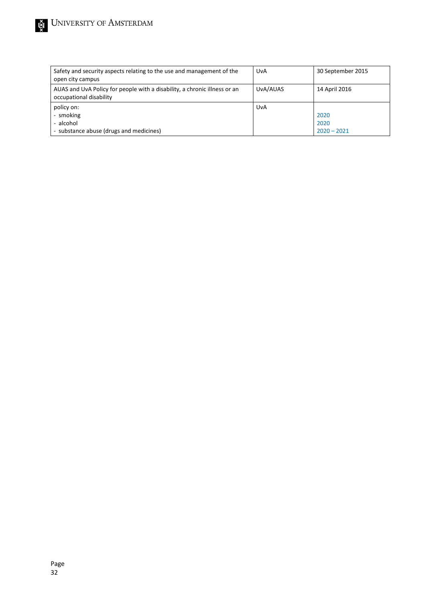| Safety and security aspects relating to the use and management of the<br>open city campus            | UvA      | 30 September 2015             |
|------------------------------------------------------------------------------------------------------|----------|-------------------------------|
| AUAS and UvA Policy for people with a disability, a chronic illness or an<br>occupational disability | UvA/AUAS | 14 April 2016                 |
| policy on:<br>- smoking<br>- alcohol<br>- substance abuse (drugs and medicines)                      | UvA      | 2020<br>2020<br>$2020 - 2021$ |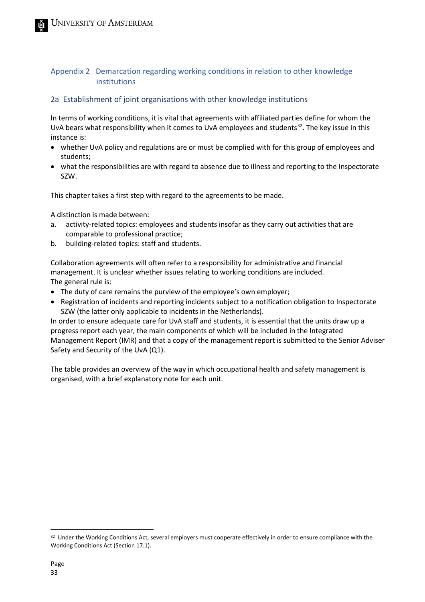## <span id="page-32-0"></span>Appendix 2 Demarcation regarding working conditions in relation to other knowledge institutions

#### 2a Establishment of joint organisations with other knowledge institutions

In terms of working conditions, it is vital that agreements with affiliated parties define for whom the UvA bears what responsibility when it comes to UvA employees and students<sup>[32](#page-32-1)</sup>. The key issue in this instance is:

- whether UvA policy and regulations are or must be complied with for this group of employees and students;
- what the responsibilities are with regard to absence due to illness and reporting to the Inspectorate SZW.

This chapter takes a first step with regard to the agreements to be made.

A distinction is made between:

- a. activity-related topics: employees and students insofar as they carry out activities that are comparable to professional practice;
- b. building-related topics: staff and students.

Collaboration agreements will often refer to a responsibility for administrative and financial management. It is unclear whether issues relating to working conditions are included. The general rule is:

- The duty of care remains the purview of the employee's own employer;
- Registration of incidents and reporting incidents subject to a notification obligation to Inspectorate SZW (the latter only applicable to incidents in the Netherlands).

In order to ensure adequate care for UvA staff and students, it is essential that the units draw up a progress report each year, the main components of which will be included in the Integrated Management Report (IMR) and that a copy of the management report is submitted to the Senior Adviser Safety and Security of the UvA (Q1).

The table provides an overview of the way in which occupational health and safety management is organised, with a brief explanatory note for each unit.

<span id="page-32-1"></span><sup>&</sup>lt;sup>32</sup> Under the Working Conditions Act, several employers must cooperate effectively in order to ensure compliance with the Working Conditions Act (Section 17.1).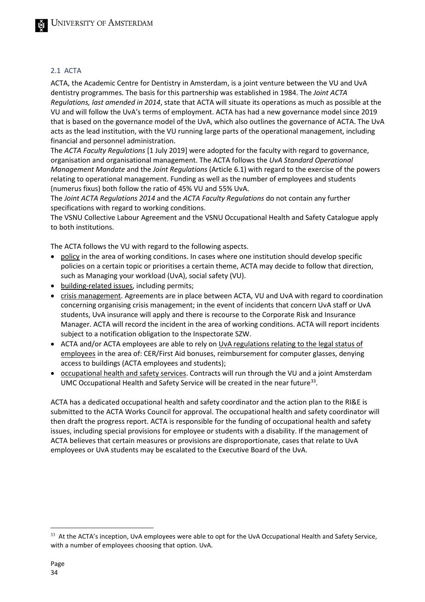#### 2.1 ACTA

ACTA, the Academic Centre for Dentistry in Amsterdam, is a joint venture between the VU and UvA dentistry programmes. The basis for this partnership was established in 1984. The *Joint ACTA Regulations, last amended in 2014*, state that ACTA will situate its operations as much as possible at the VU and will follow the UvA's terms of employment. ACTA has had a new governance model since 2019 that is based on the governance model of the UvA, which also outlines the governance of ACTA. The UvA acts as the lead institution, with the VU running large parts of the operational management, including financial and personnel administration.

The *ACTA Faculty Regulations* [1 July 2019] were adopted for the faculty with regard to governance, organisation and organisational management. The ACTA follows the *UvA Standard Operational Management Mandate* and the *Joint Regulations* (Article 6.1) with regard to the exercise of the powers relating to operational management. Funding as well as the number of employees and students (numerus fixus) both follow the ratio of 45% VU and 55% UvA.

The *Joint ACTA Regulations 2014* and the *ACTA Faculty Regulations* do not contain any further specifications with regard to working conditions.

The VSNU Collective Labour Agreement and the VSNU Occupational Health and Safety Catalogue apply to both institutions.

The ACTA follows the VU with regard to the following aspects.

- policy in the area of working conditions. In cases where one institution should develop specific policies on a certain topic or prioritises a certain theme, ACTA may decide to follow that direction, such as Managing your workload (UvA), social safety (VU).
- building-related issues, including permits;
- crisis management. Agreements are in place between ACTA, VU and UvA with regard to coordination concerning organising crisis management; in the event of incidents that concern UvA staff or UvA students, UvA insurance will apply and there is recourse to the Corporate Risk and Insurance Manager. ACTA will record the incident in the area of working conditions. ACTA will report incidents subject to a notification obligation to the Inspectorate SZW.
- ACTA and/or ACTA employees are able to rely on UvA regulations relating to the legal status of employees in the area of: CER/First Aid bonuses, reimbursement for computer glasses, denying access to buildings (ACTA employees and students);
- occupational health and safety services. Contracts will run through the VU and a joint Amsterdam UMC Occupational Health and Safety Service will be created in the near future<sup>[33](#page-33-0)</sup>.

ACTA has a dedicated occupational health and safety coordinator and the action plan to the RI&E is submitted to the ACTA Works Council for approval. The occupational health and safety coordinator will then draft the progress report. ACTA is responsible for the funding of occupational health and safety issues, including special provisions for employee or students with a disability. If the management of ACTA believes that certain measures or provisions are disproportionate, cases that relate to UvA employees or UvA students may be escalated to the Executive Board of the UvA.

<span id="page-33-0"></span><sup>&</sup>lt;sup>33</sup> At the ACTA's inception, UvA employees were able to opt for the UvA Occupational Health and Safety Service, with a number of employees choosing that option. UvA.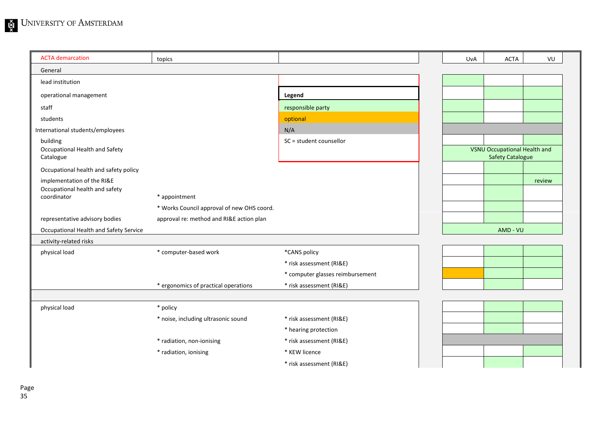| <b>ACTA</b> demarcation                                      | topics                                     |                                  | UvA | <b>ACTA</b>                                                    | VU     |
|--------------------------------------------------------------|--------------------------------------------|----------------------------------|-----|----------------------------------------------------------------|--------|
| General                                                      |                                            |                                  |     |                                                                |        |
| lead institution                                             |                                            |                                  |     |                                                                |        |
| operational management                                       |                                            | Legend                           |     |                                                                |        |
| staff                                                        |                                            | responsible party                |     |                                                                |        |
| students                                                     |                                            | optional                         |     |                                                                |        |
| International students/employees                             |                                            | N/A                              |     |                                                                |        |
| building                                                     |                                            | SC = student counsellor          |     |                                                                |        |
| Occupational Health and Safety<br>Catalogue                  |                                            |                                  |     | <b>VSNU Occupational Health and</b><br><b>Safety Catalogue</b> |        |
| Occupational health and safety policy                        |                                            |                                  |     |                                                                |        |
| implementation of the RI&E<br>Occupational health and safety |                                            |                                  |     |                                                                | review |
| coordinator                                                  | * appointment                              |                                  |     |                                                                |        |
|                                                              | * Works Council approval of new OHS coord. |                                  |     |                                                                |        |
| representative advisory bodies                               | approval re: method and RI&E action plan   |                                  |     |                                                                |        |
| Occupational Health and Safety Service                       |                                            |                                  |     | AMD - VU                                                       |        |
| activity-related risks                                       |                                            |                                  |     |                                                                |        |
| physical load                                                | * computer-based work                      | *CANS policy                     |     |                                                                |        |
|                                                              |                                            | * risk assessment (RI&E)         |     |                                                                |        |
|                                                              |                                            | * computer glasses reimbursement |     |                                                                |        |
|                                                              | * ergonomics of practical operations       | * risk assessment (RI&E)         |     |                                                                |        |
|                                                              |                                            |                                  |     |                                                                |        |
| physical load                                                | * policy                                   |                                  |     |                                                                |        |
|                                                              | * noise, including ultrasonic sound        | * risk assessment (RI&E)         |     |                                                                |        |
|                                                              |                                            | * hearing protection             |     |                                                                |        |
|                                                              | * radiation, non-ionising                  | * risk assessment (RI&E)         |     |                                                                |        |
|                                                              | * radiation, ionising                      | * KEW licence                    |     |                                                                |        |
|                                                              |                                            | * risk assessment (RI&E)         |     |                                                                |        |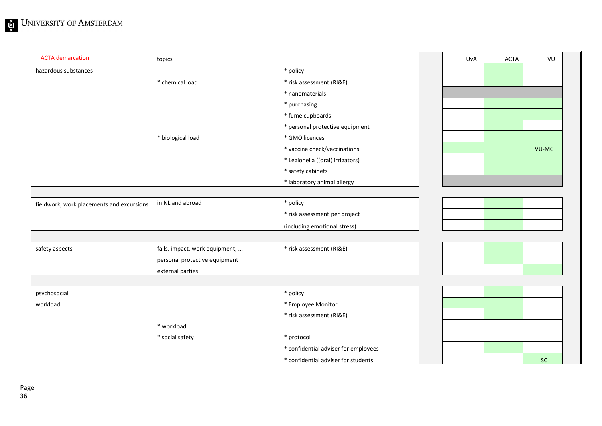| <b>ACTA</b> demarcation                   | topics                         |                                      | UvA | <b>ACTA</b> | VU    |
|-------------------------------------------|--------------------------------|--------------------------------------|-----|-------------|-------|
| hazardous substances                      |                                | * policy                             |     |             |       |
|                                           | * chemical load                | * risk assessment (RI&E)             |     |             |       |
|                                           |                                | * nanomaterials                      |     |             |       |
|                                           |                                | * purchasing                         |     |             |       |
|                                           |                                | * fume cupboards                     |     |             |       |
|                                           |                                | * personal protective equipment      |     |             |       |
|                                           | * biological load              | * GMO licences                       |     |             |       |
|                                           |                                | * vaccine check/vaccinations         |     |             | VU-MC |
|                                           |                                | * Legionella ((oral) irrigators)     |     |             |       |
|                                           |                                | * safety cabinets                    |     |             |       |
|                                           |                                | * laboratory animal allergy          |     |             |       |
|                                           |                                |                                      |     |             |       |
| fieldwork, work placements and excursions | in NL and abroad               | * policy                             |     |             |       |
|                                           |                                | * risk assessment per project        |     |             |       |
|                                           |                                | (including emotional stress)         |     |             |       |
|                                           |                                |                                      |     |             |       |
| safety aspects                            | falls, impact, work equipment, | * risk assessment (RI&E)             |     |             |       |
|                                           | personal protective equipment  |                                      |     |             |       |
|                                           | external parties               |                                      |     |             |       |
|                                           |                                |                                      |     |             |       |
| psychosocial                              |                                | * policy                             |     |             |       |
| workload                                  |                                | * Employee Monitor                   |     |             |       |
|                                           |                                | * risk assessment (RI&E)             |     |             |       |
|                                           | * workload                     |                                      |     |             |       |
|                                           | * social safety                | * protocol                           |     |             |       |
|                                           |                                | * confidential adviser for employees |     |             |       |
|                                           |                                | * confidential adviser for students  |     |             | SC    |
|                                           |                                |                                      |     |             |       |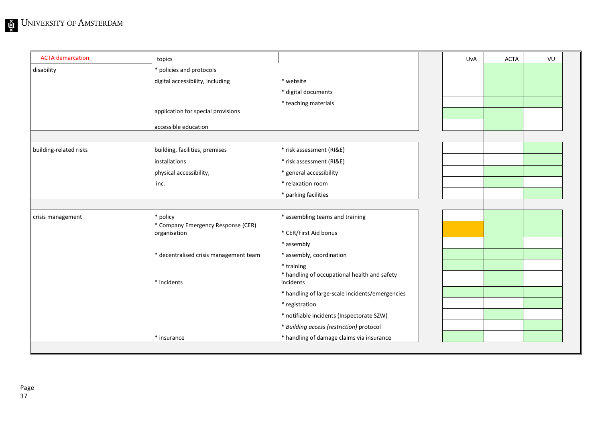| <b>ACTA</b> demarcation | topics                                             |                                                           | UvA | <b>ACTA</b> | VU |
|-------------------------|----------------------------------------------------|-----------------------------------------------------------|-----|-------------|----|
| disability              | * policies and protocols                           |                                                           |     |             |    |
|                         | digital accessibility, including                   | * website                                                 |     |             |    |
|                         |                                                    | * digital documents                                       |     |             |    |
|                         |                                                    | * teaching materials                                      |     |             |    |
|                         | application for special provisions                 |                                                           |     |             |    |
|                         | accessible education                               |                                                           |     |             |    |
|                         |                                                    |                                                           |     |             |    |
| building-related risks  | building, facilities, premises                     | * risk assessment (RI&E)                                  |     |             |    |
|                         | installations                                      | * risk assessment (RI&E)                                  |     |             |    |
|                         | physical accessibility,                            | * general accessibility                                   |     |             |    |
|                         | inc.                                               | * relaxation room                                         |     |             |    |
|                         |                                                    | * parking facilities                                      |     |             |    |
|                         |                                                    |                                                           |     |             |    |
| crisis management       | * policy                                           | * assembling teams and training                           |     |             |    |
|                         | * Company Emergency Response (CER)<br>organisation | * CER/First Aid bonus                                     |     |             |    |
|                         |                                                    | * assembly                                                |     |             |    |
|                         | * decentralised crisis management team             | * assembly, coordination                                  |     |             |    |
|                         |                                                    | * training                                                |     |             |    |
|                         | * incidents                                        | * handling of occupational health and safety<br>incidents |     |             |    |
|                         |                                                    | * handling of large-scale incidents/emergencies           |     |             |    |
|                         |                                                    | * registration                                            |     |             |    |
|                         |                                                    | * notifiable incidents (Inspectorate SZW)                 |     |             |    |
|                         |                                                    | * Building access (restriction) protocol                  |     |             |    |
|                         | * insurance                                        | * handling of damage claims via insurance                 |     |             |    |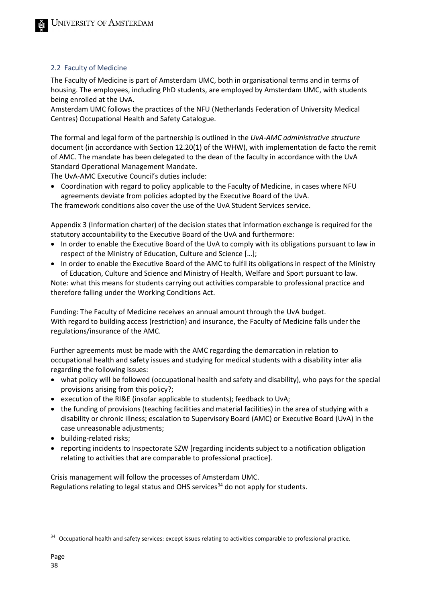#### 2.2 Faculty of Medicine

The Faculty of Medicine is part of Amsterdam UMC, both in organisational terms and in terms of housing. The employees, including PhD students, are employed by Amsterdam UMC, with students being enrolled at the UvA.

Amsterdam UMC follows the practices of the NFU (Netherlands Federation of University Medical Centres) Occupational Health and Safety Catalogue.

The formal and legal form of the partnership is outlined in the *UvA-AMC administrative structure* document (in accordance with Section 12.20(1) of the WHW), with implementation de facto the remit of AMC. The mandate has been delegated to the dean of the faculty in accordance with the UvA Standard Operational Management Mandate.

The UvA-AMC Executive Council's duties include:

• Coordination with regard to policy applicable to the Faculty of Medicine, in cases where NFU agreements deviate from policies adopted by the Executive Board of the UvA.

The framework conditions also cover the use of the UvA Student Services service.

Appendix 3 (Information charter) of the decision states that information exchange is required for the statutory accountability to the Executive Board of the UvA and furthermore:

- In order to enable the Executive Board of the UvA to comply with its obligations pursuant to law in respect of the Ministry of Education, Culture and Science […];
- In order to enable the Executive Board of the AMC to fulfil its obligations in respect of the Ministry of Education, Culture and Science and Ministry of Health, Welfare and Sport pursuant to law.

Note: what this means for students carrying out activities comparable to professional practice and therefore falling under the Working Conditions Act.

Funding: The Faculty of Medicine receives an annual amount through the UvA budget. With regard to building access (restriction) and insurance, the Faculty of Medicine falls under the regulations/insurance of the AMC.

Further agreements must be made with the AMC regarding the demarcation in relation to occupational health and safety issues and studying for medical students with a disability inter alia regarding the following issues:

- what policy will be followed (occupational health and safety and disability), who pays for the special provisions arising from this policy?;
- execution of the RI&E (insofar applicable to students); feedback to UvA;
- the funding of provisions (teaching facilities and material facilities) in the area of studying with a disability or chronic illness; escalation to Supervisory Board (AMC) or Executive Board (UvA) in the case unreasonable adjustments;
- building-related risks;
- reporting incidents to Inspectorate SZW [regarding incidents subject to a notification obligation relating to activities that are comparable to professional practice].

Crisis management will follow the processes of Amsterdam UMC. Regulations relating to legal status and OHS services<sup>[34](#page-37-0)</sup> do not apply for students.

<span id="page-37-0"></span> $34$  Occupational health and safety services: except issues relating to activities comparable to professional practice.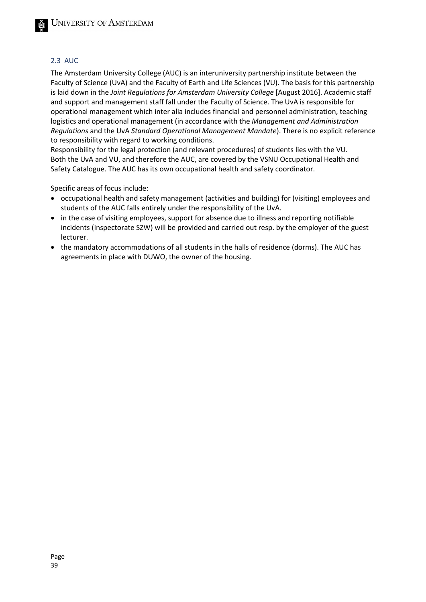#### 2.3 AUC

The Amsterdam University College (AUC) is an interuniversity partnership institute between the Faculty of Science (UvA) and the Faculty of Earth and Life Sciences (VU). The basis for this partnership is laid down in the *Joint Regulations for Amsterdam University College* [August 2016]. Academic staff and support and management staff fall under the Faculty of Science. The UvA is responsible for operational management which inter alia includes financial and personnel administration, teaching logistics and operational management (in accordance with the *Management and Administration Regulations* and the UvA *Standard Operational Management Mandate*). There is no explicit reference to responsibility with regard to working conditions.

Responsibility for the legal protection (and relevant procedures) of students lies with the VU. Both the UvA and VU, and therefore the AUC, are covered by the VSNU Occupational Health and Safety Catalogue. The AUC has its own occupational health and safety coordinator.

Specific areas of focus include:

- occupational health and safety management (activities and building) for (visiting) employees and students of the AUC falls entirely under the responsibility of the UvA.
- in the case of visiting employees, support for absence due to illness and reporting notifiable incidents (Inspectorate SZW) will be provided and carried out resp. by the employer of the guest lecturer.
- the mandatory accommodations of all students in the halls of residence (dorms). The AUC has agreements in place with DUWO, the owner of the housing.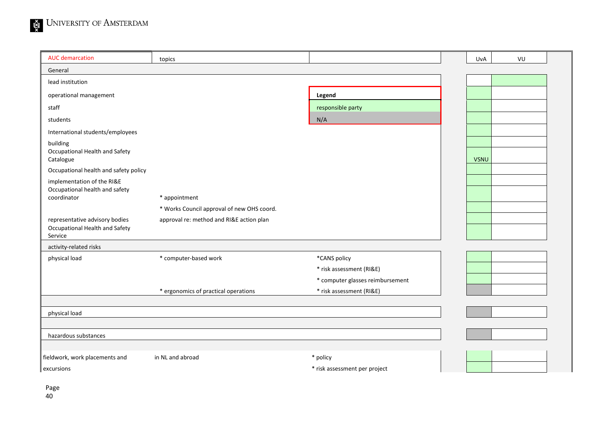| <b>AUC</b> demarcation                        | topics                                     |                                  | UvA         | VU |  |
|-----------------------------------------------|--------------------------------------------|----------------------------------|-------------|----|--|
| General                                       |                                            |                                  |             |    |  |
| lead institution                              |                                            |                                  |             |    |  |
| operational management                        |                                            | Legend                           |             |    |  |
| staff                                         |                                            | responsible party                |             |    |  |
| students                                      |                                            | N/A                              |             |    |  |
| International students/employees              |                                            |                                  |             |    |  |
| building                                      |                                            |                                  |             |    |  |
| Occupational Health and Safety<br>Catalogue   |                                            |                                  | <b>VSNU</b> |    |  |
| Occupational health and safety policy         |                                            |                                  |             |    |  |
| implementation of the RI&E                    |                                            |                                  |             |    |  |
| Occupational health and safety<br>coordinator | * appointment                              |                                  |             |    |  |
|                                               | * Works Council approval of new OHS coord. |                                  |             |    |  |
| representative advisory bodies                | approval re: method and RI&E action plan   |                                  |             |    |  |
| Occupational Health and Safety<br>Service     |                                            |                                  |             |    |  |
| activity-related risks                        |                                            |                                  |             |    |  |
| physical load                                 | * computer-based work                      | *CANS policy                     |             |    |  |
|                                               |                                            | * risk assessment (RI&E)         |             |    |  |
|                                               |                                            | * computer glasses reimbursement |             |    |  |
|                                               | * ergonomics of practical operations       | * risk assessment (RI&E)         |             |    |  |
|                                               |                                            |                                  |             |    |  |
| physical load                                 |                                            |                                  |             |    |  |
| hazardous substances                          |                                            |                                  |             |    |  |
|                                               |                                            |                                  |             |    |  |
| fieldwork, work placements and                | in NL and abroad                           | * policy                         |             |    |  |
| excursions                                    |                                            | * risk assessment per project    |             |    |  |
|                                               |                                            |                                  |             |    |  |

Page 40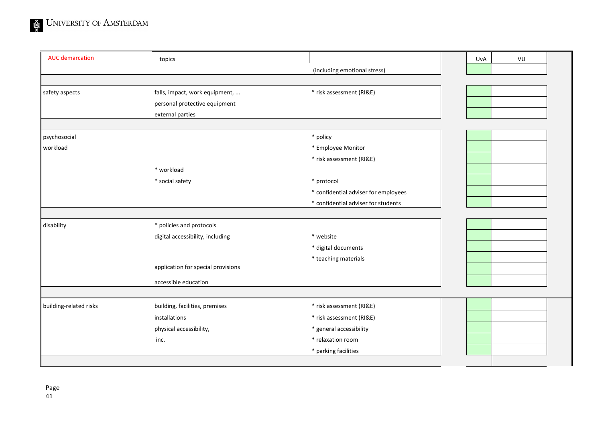| <b>AUC</b> demarcation | topics                             |                                      | UvA | VU |  |
|------------------------|------------------------------------|--------------------------------------|-----|----|--|
|                        |                                    | (including emotional stress)         |     |    |  |
|                        |                                    |                                      |     |    |  |
| safety aspects         | falls, impact, work equipment,     | * risk assessment (RI&E)             |     |    |  |
|                        | personal protective equipment      |                                      |     |    |  |
|                        | external parties                   |                                      |     |    |  |
|                        |                                    |                                      |     |    |  |
| psychosocial           |                                    | * policy                             |     |    |  |
| workload               |                                    | * Employee Monitor                   |     |    |  |
|                        |                                    | * risk assessment (RI&E)             |     |    |  |
|                        | * workload                         |                                      |     |    |  |
|                        | * social safety                    | * protocol                           |     |    |  |
|                        |                                    | * confidential adviser for employees |     |    |  |
|                        |                                    | * confidential adviser for students  |     |    |  |
|                        |                                    |                                      |     |    |  |
| disability             | * policies and protocols           |                                      |     |    |  |
|                        | digital accessibility, including   | * website                            |     |    |  |
|                        |                                    | * digital documents                  |     |    |  |
|                        |                                    | * teaching materials                 |     |    |  |
|                        | application for special provisions |                                      |     |    |  |
|                        | accessible education               |                                      |     |    |  |
|                        |                                    |                                      |     |    |  |
| building-related risks | building, facilities, premises     | * risk assessment (RI&E)             |     |    |  |
|                        | installations                      | * risk assessment (RI&E)             |     |    |  |
|                        | physical accessibility,            | * general accessibility              |     |    |  |
|                        | inc.                               | * relaxation room                    |     |    |  |
|                        |                                    | * parking facilities                 |     |    |  |
|                        |                                    |                                      |     |    |  |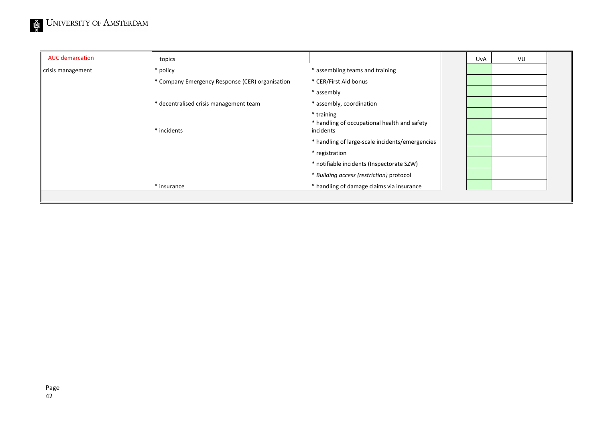| <b>AUC demarcation</b> | topics                                          |                                                                         | UvA | VU |  |
|------------------------|-------------------------------------------------|-------------------------------------------------------------------------|-----|----|--|
| crisis management      | * policy                                        | * assembling teams and training                                         |     |    |  |
|                        | * Company Emergency Response (CER) organisation | * CER/First Aid bonus                                                   |     |    |  |
|                        |                                                 | * assembly                                                              |     |    |  |
|                        | * decentralised crisis management team          | * assembly, coordination                                                |     |    |  |
|                        | * incidents                                     | * training<br>* handling of occupational health and safety<br>incidents |     |    |  |
|                        |                                                 | * handling of large-scale incidents/emergencies                         |     |    |  |
|                        |                                                 | * registration                                                          |     |    |  |
|                        |                                                 | * notifiable incidents (Inspectorate SZW)                               |     |    |  |
|                        |                                                 | * Building access (restriction) protocol                                |     |    |  |
|                        | * insurance                                     | * handling of damage claims via insurance                               |     |    |  |
|                        |                                                 |                                                                         |     |    |  |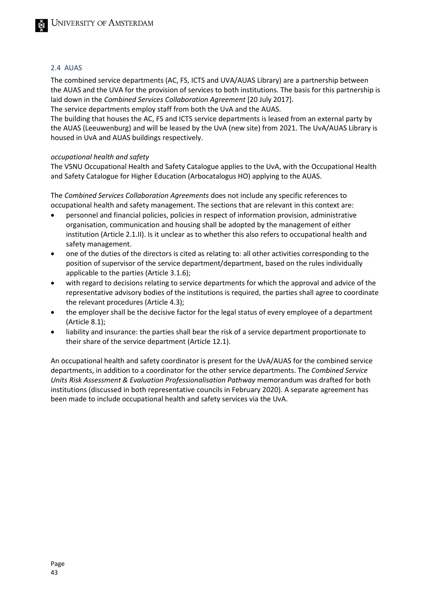#### 2.4 AUAS

The combined service departments (AC, FS, ICTS and UVA/AUAS Library) are a partnership between the AUAS and the UVA for the provision of services to both institutions. The basis for this partnership is laid down in the *Combined Services Collaboration Agreement* [20 July 2017].

The service departments employ staff from both the UvA and the AUAS.

The building that houses the AC, FS and ICTS service departments is leased from an external party by the AUAS (Leeuwenburg) and will be leased by the UvA (new site) from 2021. The UvA/AUAS Library is housed in UvA and AUAS buildings respectively.

#### *occupational health and safety*

The VSNU Occupational Health and Safety Catalogue applies to the UvA, with the Occupational Health and Safety Catalogue for Higher Education (Arbocatalogus HO) applying to the AUAS.

The *Combined Services Collaboration Agreements* does not include any specific references to occupational health and safety management. The sections that are relevant in this context are:

- personnel and financial policies, policies in respect of information provision, administrative organisation, communication and housing shall be adopted by the management of either institution (Article 2.1.II). Is it unclear as to whether this also refers to occupational health and safety management.
- one of the duties of the directors is cited as relating to: all other activities corresponding to the position of supervisor of the service department/department, based on the rules individually applicable to the parties (Article 3.1.6);
- with regard to decisions relating to service departments for which the approval and advice of the representative advisory bodies of the institutions is required, the parties shall agree to coordinate the relevant procedures (Article 4.3);
- the employer shall be the decisive factor for the legal status of every employee of a department (Article 8.1);
- liability and insurance: the parties shall bear the risk of a service department proportionate to their share of the service department (Article 12.1).

An occupational health and safety coordinator is present for the UvA/AUAS for the combined service departments, in addition to a coordinator for the other service departments. The *Combined Service Units Risk Assessment & Evaluation Professionalisation Pathway* memorandum was drafted for both institutions (discussed in both representative councils in February 2020). A separate agreement has been made to include occupational health and safety services via the UvA.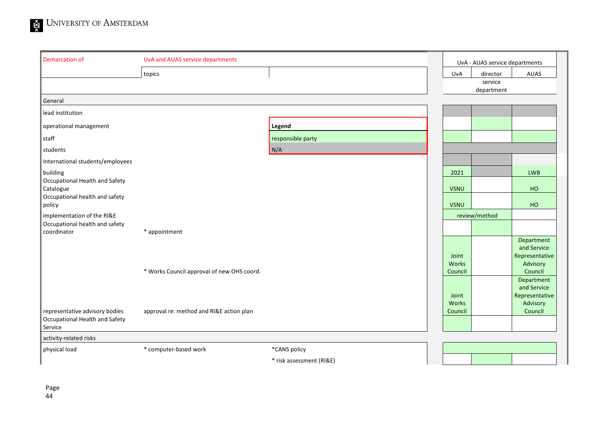

| <b>Demarcation of</b>                                                       | UvA and AUAS service departments           |                          |                  | UvA - AUAS service departments |
|-----------------------------------------------------------------------------|--------------------------------------------|--------------------------|------------------|--------------------------------|
|                                                                             | topics                                     |                          | <b>UvA</b>       | AUAS<br>director               |
|                                                                             |                                            |                          |                  | service<br>department          |
| General                                                                     |                                            |                          |                  |                                |
| lead institution                                                            |                                            |                          |                  |                                |
| operational management                                                      |                                            | Legend                   |                  |                                |
| staff                                                                       |                                            | responsible party        |                  |                                |
| students                                                                    |                                            | N/A                      |                  |                                |
| International students/employees                                            |                                            |                          |                  |                                |
| building                                                                    |                                            |                          | 2021             | <b>LWB</b>                     |
| Occupational Health and Safety<br>Catalogue                                 |                                            |                          | <b>VSNU</b>      | <b>HO</b>                      |
| Occupational health and safety<br>policy                                    |                                            |                          | <b>VSNU</b>      | HO                             |
| implementation of the RI&E                                                  |                                            |                          |                  | review/method                  |
| Occupational health and safety<br>coordinator                               | * appointment                              |                          |                  |                                |
|                                                                             |                                            |                          |                  | Department<br>and Service      |
|                                                                             |                                            |                          | Joint            | Representative                 |
|                                                                             | * Works Council approval of new OHS coord. |                          | Works<br>Council | Advisory<br>Council            |
|                                                                             |                                            |                          |                  | Department                     |
|                                                                             |                                            |                          | Joint            | and Service<br>Representative  |
|                                                                             |                                            |                          | Works            | Advisory                       |
| representative advisory bodies<br>Occupational Health and Safety<br>Service | approval re: method and RI&E action plan   |                          | Council          | Council                        |
| activity-related risks                                                      |                                            |                          |                  |                                |
| physical load                                                               | * computer-based work                      | *CANS policy             |                  |                                |
|                                                                             |                                            | * risk assessment (RI&E) |                  |                                |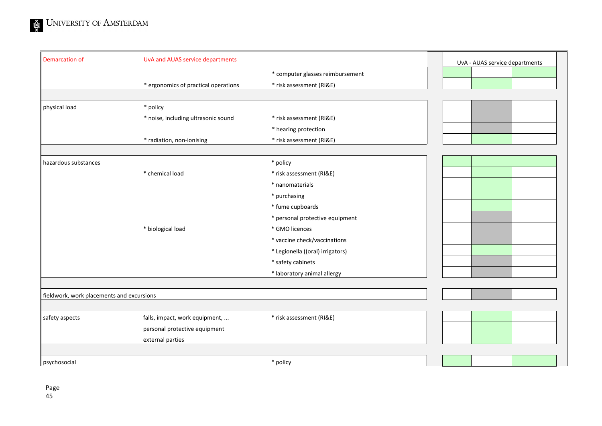| <b>Demarcation of</b>                     | UvA and AUAS service departments     |                                  |  | UvA - AUAS service departments |  |
|-------------------------------------------|--------------------------------------|----------------------------------|--|--------------------------------|--|
|                                           |                                      | * computer glasses reimbursement |  |                                |  |
|                                           | * ergonomics of practical operations | * risk assessment (RI&E)         |  |                                |  |
|                                           |                                      |                                  |  |                                |  |
| physical load                             | * policy                             |                                  |  |                                |  |
|                                           | * noise, including ultrasonic sound  | * risk assessment (RI&E)         |  |                                |  |
|                                           |                                      | * hearing protection             |  |                                |  |
|                                           | * radiation, non-ionising            | * risk assessment (RI&E)         |  |                                |  |
|                                           |                                      |                                  |  |                                |  |
| hazardous substances                      |                                      | * policy                         |  |                                |  |
|                                           | * chemical load                      | * risk assessment (RI&E)         |  |                                |  |
|                                           |                                      | * nanomaterials                  |  |                                |  |
|                                           |                                      | * purchasing                     |  |                                |  |
|                                           |                                      | * fume cupboards                 |  |                                |  |
|                                           |                                      | * personal protective equipment  |  |                                |  |
|                                           | * biological load                    | * GMO licences                   |  |                                |  |
|                                           |                                      | * vaccine check/vaccinations     |  |                                |  |
|                                           |                                      | * Legionella ((oral) irrigators) |  |                                |  |
|                                           |                                      | * safety cabinets                |  |                                |  |
|                                           |                                      | * laboratory animal allergy      |  |                                |  |
|                                           |                                      |                                  |  |                                |  |
| fieldwork, work placements and excursions |                                      |                                  |  |                                |  |
|                                           |                                      |                                  |  |                                |  |
| safety aspects                            | falls, impact, work equipment,       | * risk assessment (RI&E)         |  |                                |  |
|                                           | personal protective equipment        |                                  |  |                                |  |
|                                           | external parties                     |                                  |  |                                |  |
|                                           |                                      |                                  |  |                                |  |
| psychosocial                              |                                      | * policy                         |  |                                |  |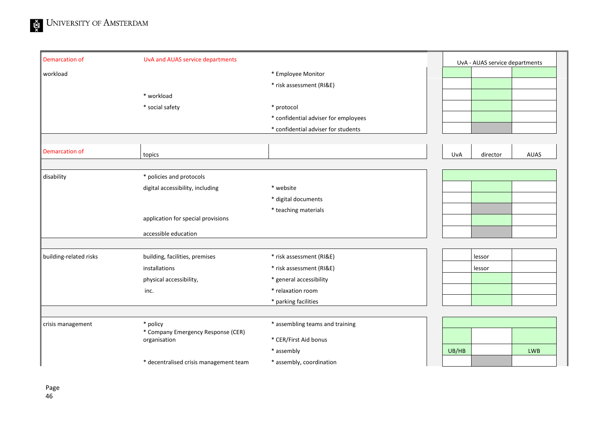| Demarcation of         | UvA and AUAS service departments                   |                                      |       | UvA - AUAS service departments |             |
|------------------------|----------------------------------------------------|--------------------------------------|-------|--------------------------------|-------------|
| workload               |                                                    | * Employee Monitor                   |       |                                |             |
|                        |                                                    | * risk assessment (RI&E)             |       |                                |             |
|                        | * workload                                         |                                      |       |                                |             |
|                        | * social safety                                    | * protocol                           |       |                                |             |
|                        |                                                    | * confidential adviser for employees |       |                                |             |
|                        |                                                    | * confidential adviser for students  |       |                                |             |
|                        |                                                    |                                      |       |                                |             |
| Demarcation of         | topics                                             |                                      | UvA   | director                       | <b>AUAS</b> |
|                        |                                                    |                                      |       |                                |             |
| disability             | * policies and protocols                           |                                      |       |                                |             |
|                        | digital accessibility, including                   | * website                            |       |                                |             |
|                        |                                                    | * digital documents                  |       |                                |             |
|                        |                                                    | * teaching materials                 |       |                                |             |
|                        | application for special provisions                 |                                      |       |                                |             |
|                        | accessible education                               |                                      |       |                                |             |
|                        |                                                    |                                      |       |                                |             |
| building-related risks | building, facilities, premises                     | * risk assessment (RI&E)             |       | lessor                         |             |
|                        | installations                                      | * risk assessment (RI&E)             |       | lessor                         |             |
|                        | physical accessibility,                            | * general accessibility              |       |                                |             |
|                        | inc.                                               | * relaxation room                    |       |                                |             |
|                        |                                                    | * parking facilities                 |       |                                |             |
|                        |                                                    |                                      |       |                                |             |
| crisis management      | * policy                                           | * assembling teams and training      |       |                                |             |
|                        | * Company Emergency Response (CER)<br>organisation | * CER/First Aid bonus                |       |                                |             |
|                        |                                                    | * assembly                           | UB/HB |                                | <b>LWB</b>  |
|                        | * decentralised crisis management team             | * assembly, coordination             |       |                                |             |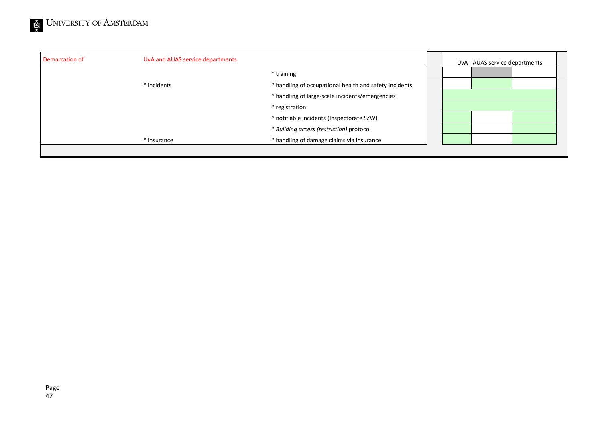| Demarcation of | UvA and AUAS service departments |                                                                                                                                                                                                                                                                                 | UvA - AUAS service departments |
|----------------|----------------------------------|---------------------------------------------------------------------------------------------------------------------------------------------------------------------------------------------------------------------------------------------------------------------------------|--------------------------------|
|                | * incidents<br>* insurance       | * training<br>* handling of occupational health and safety incidents<br>* handling of large-scale incidents/emergencies<br>* registration<br>* notifiable incidents (Inspectorate SZW)<br>* Building access (restriction) protocol<br>* handling of damage claims via insurance |                                |
|                |                                  |                                                                                                                                                                                                                                                                                 |                                |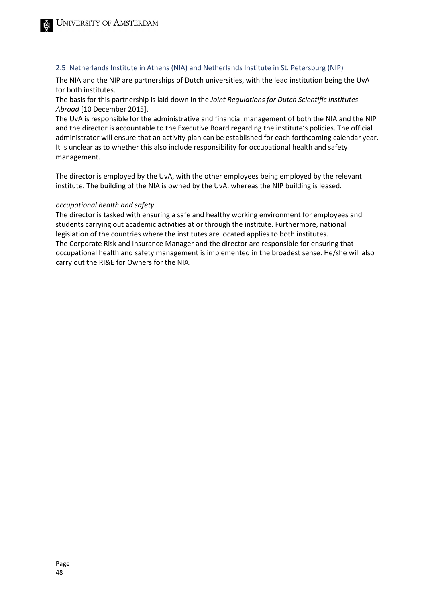#### 2.5 Netherlands Institute in Athens (NIA) and Netherlands Institute in St. Petersburg (NIP)

The NIA and the NIP are partnerships of Dutch universities, with the lead institution being the UvA for both institutes.

The basis for this partnership is laid down in the *Joint Regulations for Dutch Scientific Institutes Abroad* [10 December 2015].

The UvA is responsible for the administrative and financial management of both the NIA and the NIP and the director is accountable to the Executive Board regarding the institute's policies. The official administrator will ensure that an activity plan can be established for each forthcoming calendar year. It is unclear as to whether this also include responsibility for occupational health and safety management.

The director is employed by the UvA, with the other employees being employed by the relevant institute. The building of the NIA is owned by the UvA, whereas the NIP building is leased.

#### *occupational health and safety*

The director is tasked with ensuring a safe and healthy working environment for employees and students carrying out academic activities at or through the institute. Furthermore, national legislation of the countries where the institutes are located applies to both institutes. The Corporate Risk and Insurance Manager and the director are responsible for ensuring that occupational health and safety management is implemented in the broadest sense. He/she will also carry out the RI&E for Owners for the NIA.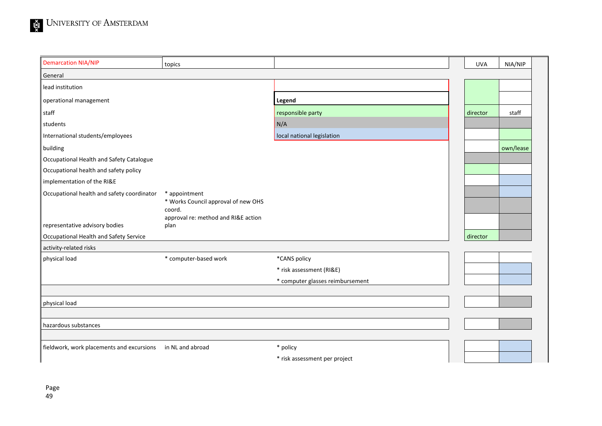| <b>Demarcation NIA/NIP</b>                 | topics                                                         |                                           | <b>UVA</b> | NIA/NIP   |
|--------------------------------------------|----------------------------------------------------------------|-------------------------------------------|------------|-----------|
| General                                    |                                                                |                                           |            |           |
| lead institution                           |                                                                |                                           |            |           |
| operational management                     |                                                                | Legend                                    |            |           |
| staff                                      |                                                                | responsible party                         | director   | staff     |
| students                                   |                                                                | N/A                                       |            |           |
| International students/employees           |                                                                | local national legislation                |            |           |
| building                                   |                                                                |                                           |            | own/lease |
| Occupational Health and Safety Catalogue   |                                                                |                                           |            |           |
| Occupational health and safety policy      |                                                                |                                           |            |           |
| implementation of the RI&E                 |                                                                |                                           |            |           |
| Occupational health and safety coordinator | * appointment<br>* Works Council approval of new OHS<br>coord. |                                           |            |           |
| representative advisory bodies             | approval re: method and RI&E action<br>plan                    |                                           |            |           |
| Occupational Health and Safety Service     |                                                                |                                           | director   |           |
| activity-related risks                     |                                                                |                                           |            |           |
| physical load                              | * computer-based work                                          | *CANS policy                              |            |           |
|                                            |                                                                | * risk assessment (RI&E)                  |            |           |
|                                            |                                                                | * computer glasses reimbursement          |            |           |
| physical load                              |                                                                |                                           |            |           |
| hazardous substances                       |                                                                |                                           |            |           |
| fieldwork, work placements and excursions  | in NL and abroad                                               | * policy<br>* risk assessment per project |            |           |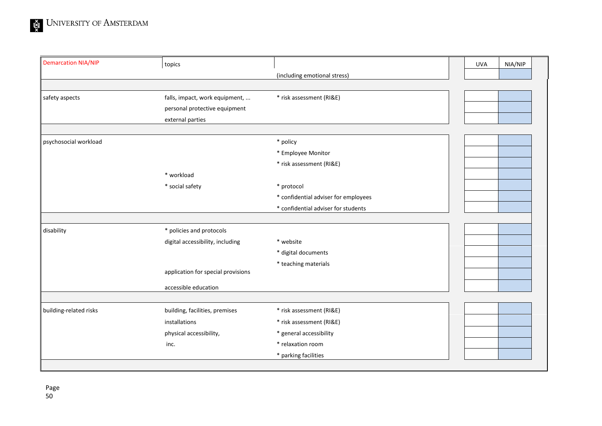| <b>Demarcation NIA/NIP</b> | topics                             |                                      | <b>UVA</b> | NIA/NIP |  |
|----------------------------|------------------------------------|--------------------------------------|------------|---------|--|
|                            |                                    | (including emotional stress)         |            |         |  |
|                            |                                    |                                      |            |         |  |
| safety aspects             | falls, impact, work equipment,     | * risk assessment (RI&E)             |            |         |  |
|                            | personal protective equipment      |                                      |            |         |  |
|                            | external parties                   |                                      |            |         |  |
|                            |                                    |                                      |            |         |  |
| psychosocial workload      |                                    | * policy                             |            |         |  |
|                            |                                    | * Employee Monitor                   |            |         |  |
|                            |                                    | * risk assessment (RI&E)             |            |         |  |
|                            | * workload                         |                                      |            |         |  |
|                            | * social safety                    | * protocol                           |            |         |  |
|                            |                                    | * confidential adviser for employees |            |         |  |
|                            |                                    | * confidential adviser for students  |            |         |  |
|                            |                                    |                                      |            |         |  |
| disability                 | * policies and protocols           |                                      |            |         |  |
|                            | digital accessibility, including   | * website                            |            |         |  |
|                            |                                    | * digital documents                  |            |         |  |
|                            |                                    | * teaching materials                 |            |         |  |
|                            | application for special provisions |                                      |            |         |  |
|                            | accessible education               |                                      |            |         |  |
|                            |                                    |                                      |            |         |  |
| building-related risks     | building, facilities, premises     | * risk assessment (RI&E)             |            |         |  |
|                            | installations                      | * risk assessment (RI&E)             |            |         |  |
|                            | physical accessibility,            | * general accessibility              |            |         |  |
|                            | inc.                               | * relaxation room                    |            |         |  |
|                            |                                    | * parking facilities                 |            |         |  |
|                            |                                    |                                      |            |         |  |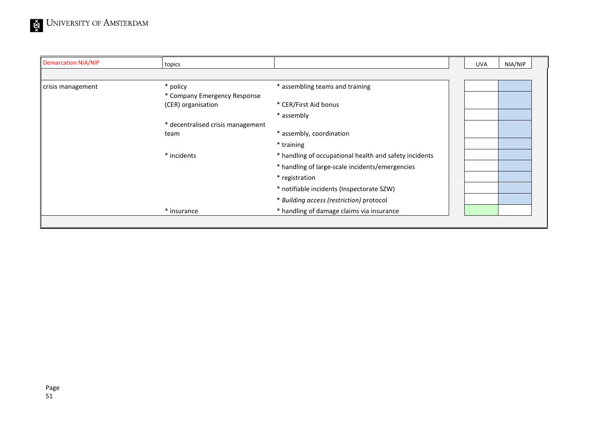| <b>Demarcation NIA/NIP</b> | topics                            |                                                        | <b>UVA</b> | NIA/NIP |  |
|----------------------------|-----------------------------------|--------------------------------------------------------|------------|---------|--|
|                            |                                   |                                                        |            |         |  |
| crisis management          | * policy                          | * assembling teams and training                        |            |         |  |
|                            | * Company Emergency Response      |                                                        |            |         |  |
|                            | (CER) organisation                | * CER/First Aid bonus                                  |            |         |  |
|                            |                                   | * assembly                                             |            |         |  |
|                            | * decentralised crisis management |                                                        |            |         |  |
|                            | team                              | * assembly, coordination                               |            |         |  |
|                            |                                   | * training                                             |            |         |  |
|                            | * incidents                       | * handling of occupational health and safety incidents |            |         |  |
|                            |                                   | * handling of large-scale incidents/emergencies        |            |         |  |
|                            |                                   | * registration                                         |            |         |  |
|                            |                                   | * notifiable incidents (Inspectorate SZW)              |            |         |  |
|                            |                                   | * Building access (restriction) protocol               |            |         |  |
|                            | * insurance                       | * handling of damage claims via insurance              |            |         |  |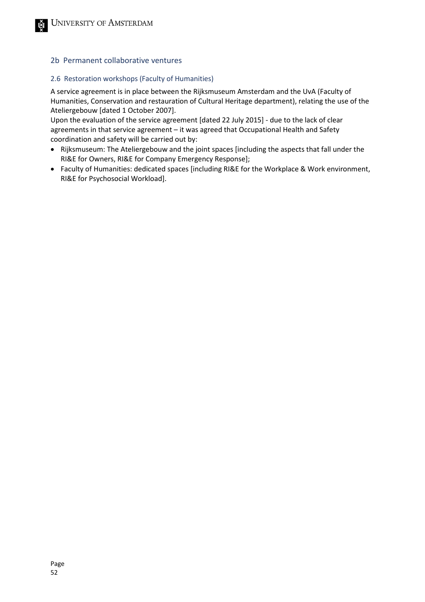#### 2b Permanent collaborative ventures

#### 2.6 Restoration workshops (Faculty of Humanities)

A service agreement is in place between the Rijksmuseum Amsterdam and the UvA (Faculty of Humanities, Conservation and restauration of Cultural Heritage department), relating the use of the Ateliergebouw [dated 1 October 2007].

Upon the evaluation of the service agreement [dated 22 July 2015] - due to the lack of clear agreements in that service agreement – it was agreed that Occupational Health and Safety coordination and safety will be carried out by:

- Rijksmuseum: The Ateliergebouw and the joint spaces [including the aspects that fall under the RI&E for Owners, RI&E for Company Emergency Response];
- Faculty of Humanities: dedicated spaces [including RI&E for the Workplace & Work environment, RI&E for Psychosocial Workload].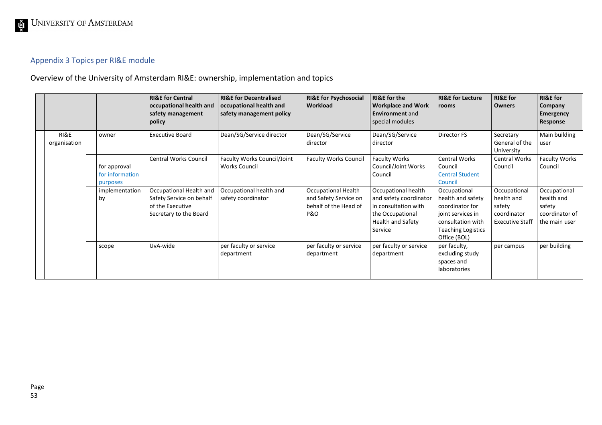## Appendix 3 Topics per RI&E module

Overview of the University of Amsterdam RI&E: ownership, implementation and topics

<span id="page-52-0"></span>

|                      |    |                                             | <b>RI&amp;E for Central</b><br>occupational health and<br>safety management<br>policy             | <b>RI&amp;E for Decentralised</b><br>occupational health and<br>safety management policy | <b>RI&amp;E for Psychosocial</b><br>Workload                                 | <b>RI&amp;E</b> for the<br><b>Workplace and Work</b><br><b>Environment</b> and<br>special modules                                | <b>RI&amp;E for Lecture</b><br>rooms                                                                                                        | <b>RI&amp;E</b> for<br><b>Owners</b>                                          | <b>RI&amp;E</b> for<br>Company<br><b>Emergency</b><br>Response          |
|----------------------|----|---------------------------------------------|---------------------------------------------------------------------------------------------------|------------------------------------------------------------------------------------------|------------------------------------------------------------------------------|----------------------------------------------------------------------------------------------------------------------------------|---------------------------------------------------------------------------------------------------------------------------------------------|-------------------------------------------------------------------------------|-------------------------------------------------------------------------|
| RI&E<br>organisation |    | owner                                       | <b>Executive Board</b>                                                                            | Dean/SG/Service director                                                                 | Dean/SG/Service<br>director                                                  | Dean/SG/Service<br>director                                                                                                      | Director FS                                                                                                                                 | Secretary<br>General of the<br>University                                     | Main building<br>user                                                   |
|                      |    | for approval<br>for information<br>purposes | <b>Central Works Council</b>                                                                      | Faculty Works Council/Joint<br><b>Works Council</b>                                      | <b>Faculty Works Council</b>                                                 | <b>Faculty Works</b><br>Council/Joint Works<br>Council                                                                           | Central Works<br>Council<br><b>Central Student</b><br>Council                                                                               | Central Works<br>Council                                                      | <b>Faculty Works</b><br>Council                                         |
|                      | by | implementation                              | Occupational Health and<br>Safety Service on behalf<br>of the Executive<br>Secretary to the Board | Occupational health and<br>safety coordinator                                            | Occupational Health<br>and Safety Service on<br>behalf of the Head of<br>P&O | Occupational health<br>and safety coordinator<br>in consultation with<br>the Occupational<br><b>Health and Safety</b><br>Service | Occupational<br>health and safety<br>coordinator for<br>joint services in<br>consultation with<br><b>Teaching Logistics</b><br>Office (BOL) | Occupational<br>health and<br>safety<br>coordinator<br><b>Executive Staff</b> | Occupational<br>health and<br>safety<br>coordinator of<br>the main user |
|                      |    | scope                                       | UvA-wide                                                                                          | per faculty or service<br>department                                                     | per faculty or service<br>department                                         | per faculty or service<br>department                                                                                             | per faculty,<br>excluding study<br>spaces and<br>laboratories                                                                               | per campus                                                                    | per building                                                            |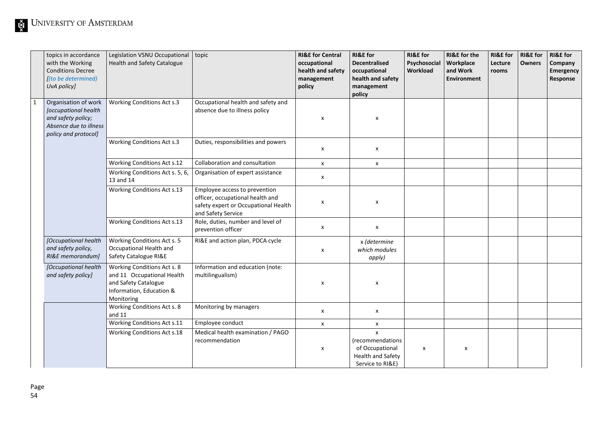| topics in accordance<br>with the Working<br><b>Conditions Decree</b><br>[(to be determined)<br>UvA policy]           | Legislation VSNU Occupational<br><b>Health and Safety Catalogue</b>                                                         | topic                                                                                                                           | <b>RI&amp;E for Central</b><br>occupational<br>health and safety<br>management<br>policy | <b>RI&amp;E</b> for<br><b>Decentralised</b><br>occupational<br>health and safety<br>management<br>policy | <b>RI&amp;E</b> for<br>Psychosocial<br>Workload | <b>RI&amp;E</b> for the<br>Workplace<br>and Work<br><b>Environment</b> | <b>RI&amp;E</b> for<br>Lecture<br>rooms | <b>RI&amp;E</b> for<br><b>Owners</b> | <b>RI&amp;E</b> for<br>Company<br>Emergency<br>Response |
|----------------------------------------------------------------------------------------------------------------------|-----------------------------------------------------------------------------------------------------------------------------|---------------------------------------------------------------------------------------------------------------------------------|------------------------------------------------------------------------------------------|----------------------------------------------------------------------------------------------------------|-------------------------------------------------|------------------------------------------------------------------------|-----------------------------------------|--------------------------------------|---------------------------------------------------------|
| Organisation of work<br>[occupational health<br>and safety policy;<br>Absence due to illness<br>policy and protocol] | <b>Working Conditions Act s.3</b>                                                                                           | Occupational health and safety and<br>absence due to illness policy                                                             | X                                                                                        | X                                                                                                        |                                                 |                                                                        |                                         |                                      |                                                         |
|                                                                                                                      | Working Conditions Act s.3                                                                                                  | Duties, responsibilities and powers                                                                                             | $\pmb{\mathsf{X}}$                                                                       | $\pmb{\mathsf{x}}$                                                                                       |                                                 |                                                                        |                                         |                                      |                                                         |
|                                                                                                                      | Working Conditions Act s.12                                                                                                 | Collaboration and consultation                                                                                                  | $\pmb{\mathsf{X}}$                                                                       | $\pmb{\chi}$                                                                                             |                                                 |                                                                        |                                         |                                      |                                                         |
|                                                                                                                      | Working Conditions Act s. 5, 6,<br>13 and 14                                                                                | Organisation of expert assistance                                                                                               | $\pmb{\chi}$                                                                             |                                                                                                          |                                                 |                                                                        |                                         |                                      |                                                         |
|                                                                                                                      | Working Conditions Act s.13                                                                                                 | Employee access to prevention<br>officer, occupational health and<br>safety expert or Occupational Health<br>and Safety Service | $\pmb{\times}$                                                                           | $\pmb{\times}$                                                                                           |                                                 |                                                                        |                                         |                                      |                                                         |
|                                                                                                                      | Working Conditions Act s.13                                                                                                 | Role, duties, number and level of<br>prevention officer                                                                         | $\pmb{\chi}$                                                                             | $\pmb{\mathsf{x}}$                                                                                       |                                                 |                                                                        |                                         |                                      |                                                         |
| [Occupational health<br>and safety policy,<br>RI&E memorandum]                                                       | Working Conditions Act s. 5<br>Occupational Health and<br>Safety Catalogue RI&E                                             | RI&E and action plan, PDCA cycle                                                                                                | X                                                                                        | x (determine<br>which modules<br>apply)                                                                  |                                                 |                                                                        |                                         |                                      |                                                         |
| [Occupational health<br>and safety policy]                                                                           | Working Conditions Act s. 8<br>and 11 Occupational Health<br>and Safety Catalogue<br>Information, Education &<br>Monitoring | Information and education (note:<br>multilingualism)                                                                            | X                                                                                        | $\pmb{\times}$                                                                                           |                                                 |                                                                        |                                         |                                      |                                                         |
|                                                                                                                      | Working Conditions Act s. 8<br>and 11                                                                                       | Monitoring by managers                                                                                                          | $\pmb{\chi}$                                                                             | X                                                                                                        |                                                 |                                                                        |                                         |                                      |                                                         |
|                                                                                                                      | Working Conditions Act s.11                                                                                                 | Employee conduct                                                                                                                | $\pmb{\chi}$                                                                             | $\pmb{\mathsf{X}}$                                                                                       |                                                 |                                                                        |                                         |                                      |                                                         |
|                                                                                                                      | Working Conditions Act s.18                                                                                                 | Medical health examination / PAGO<br>recommendation                                                                             | $\pmb{\mathsf{x}}$                                                                       | $\mathbf{x}$<br>(recommendations<br>of Occupational<br>Health and Safety<br>Service to RI&E)             | $\pmb{\times}$                                  | X                                                                      |                                         |                                      |                                                         |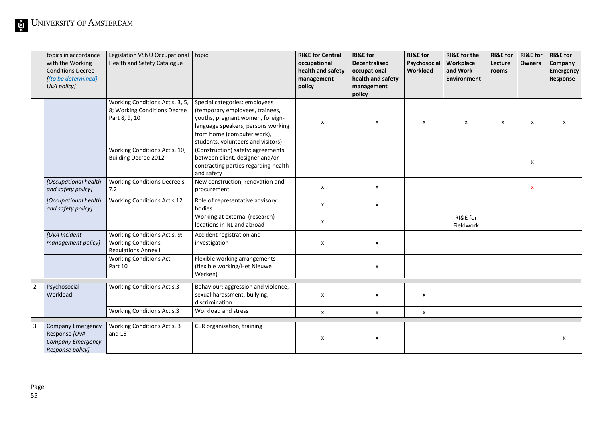| topics in accordance<br>with the Working<br><b>Conditions Decree</b><br>[(to be determined)<br>UvA policy] | Legislation VSNU Occupational<br>Health and Safety Catalogue                            | topic                                                                                                                                                                                                          | <b>RI&amp;E for Central</b><br>occupational<br>health and safety<br>management<br>policy | <b>RI&amp;E</b> for<br><b>Decentralised</b><br>occupational<br>health and safety<br>management<br>policy | <b>RI&amp;E</b> for<br>Psychosocial<br>Workload | <b>RI&amp;E</b> for the<br>Workplace<br>and Work<br><b>Environment</b> | <b>RI&amp;E</b> for<br>Lecture<br>rooms | <b>RI&amp;E</b> for<br><b>Owners</b> | <b>RI&amp;E</b> for<br>Company<br>Emergency<br>Response |
|------------------------------------------------------------------------------------------------------------|-----------------------------------------------------------------------------------------|----------------------------------------------------------------------------------------------------------------------------------------------------------------------------------------------------------------|------------------------------------------------------------------------------------------|----------------------------------------------------------------------------------------------------------|-------------------------------------------------|------------------------------------------------------------------------|-----------------------------------------|--------------------------------------|---------------------------------------------------------|
|                                                                                                            | Working Conditions Act s. 3, 5,<br>8; Working Conditions Decree<br>Part 8, 9, 10        | Special categories: employees<br>(temporary employees, trainees,<br>youths, pregnant women, foreign-<br>language speakers, persons working<br>from home (computer work),<br>students, volunteers and visitors) | X                                                                                        | X                                                                                                        | X                                               | $\boldsymbol{\mathsf{x}}$                                              | $\boldsymbol{\mathsf{x}}$               | х                                    | x                                                       |
|                                                                                                            | Working Conditions Act s. 10;<br><b>Building Decree 2012</b>                            | (Construction) safety: agreements<br>between client, designer and/or<br>contracting parties regarding health<br>and safety                                                                                     |                                                                                          |                                                                                                          |                                                 |                                                                        |                                         | X                                    |                                                         |
| [Occupational health<br>and safety policy]                                                                 | Working Conditions Decree s.<br>7.2                                                     | New construction, renovation and<br>procurement                                                                                                                                                                | $\pmb{\mathsf{x}}$                                                                       | $\pmb{\mathsf{x}}$                                                                                       |                                                 |                                                                        |                                         | $\pmb{\mathsf{x}}$                   |                                                         |
| [Occupational health<br>and safety policy]                                                                 | <b>Working Conditions Act s.12</b>                                                      | Role of representative advisory<br>bodies                                                                                                                                                                      | $\boldsymbol{\mathsf{x}}$                                                                | $\pmb{\chi}$                                                                                             |                                                 |                                                                        |                                         |                                      |                                                         |
|                                                                                                            |                                                                                         | Working at external (research)<br>locations in NL and abroad                                                                                                                                                   | $\pmb{\chi}$                                                                             |                                                                                                          |                                                 | RI&E for<br>Fieldwork                                                  |                                         |                                      |                                                         |
| [UvA Incident<br>management policy]                                                                        | Working Conditions Act s. 9;<br><b>Working Conditions</b><br><b>Regulations Annex I</b> | Accident registration and<br>investigation                                                                                                                                                                     | X                                                                                        | X                                                                                                        |                                                 |                                                                        |                                         |                                      |                                                         |
|                                                                                                            | <b>Working Conditions Act</b><br>Part 10                                                | Flexible working arrangements<br>(flexible working/Het Nieuwe<br>Werken)                                                                                                                                       |                                                                                          | X                                                                                                        |                                                 |                                                                        |                                         |                                      |                                                         |
| Psychosocial<br>Workload                                                                                   | Working Conditions Act s.3                                                              | Behaviour: aggression and violence,<br>sexual harassment, bullying,<br>discrimination                                                                                                                          | $\pmb{\chi}$                                                                             | $\pmb{\times}$                                                                                           | x                                               |                                                                        |                                         |                                      |                                                         |
|                                                                                                            | <b>Working Conditions Act s.3</b>                                                       | Workload and stress                                                                                                                                                                                            | $\boldsymbol{\mathsf{x}}$                                                                | $\pmb{\mathsf{X}}$                                                                                       | $\pmb{\mathsf{x}}$                              |                                                                        |                                         |                                      |                                                         |
| <b>Company Emergency</b><br>Response [UvA<br><b>Company Emergency</b><br>Response policy]                  | Working Conditions Act s. 3<br>and 15                                                   | CER organisation, training                                                                                                                                                                                     | $\pmb{\chi}$                                                                             | X                                                                                                        |                                                 |                                                                        |                                         |                                      | x                                                       |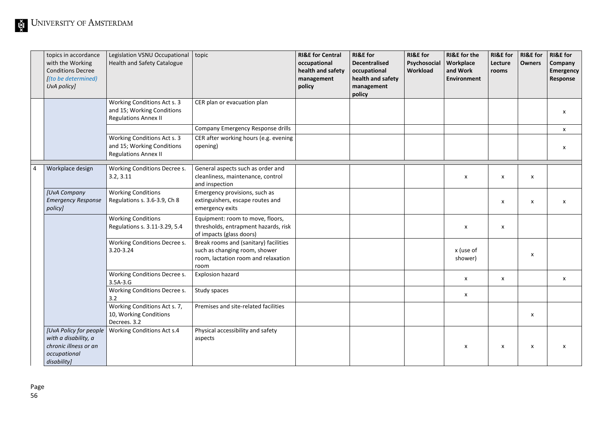| topics in accordance<br>with the Working<br><b>Conditions Decree</b><br>[(to be determined)<br>UvA policy] | Legislation VSNU Occupational<br>Health and Safety Catalogue                             | topic                                                                                                                 | <b>RI&amp;E for Central</b><br>occupational<br>health and safety<br>management<br>policy | <b>RI&amp;E</b> for<br><b>Decentralised</b><br>occupational<br>health and safety<br>management<br>policy | <b>RI&amp;E</b> for<br>Psychosocial<br>Workload | <b>RI&amp;E</b> for the<br>Workplace<br>and Work<br>Environment | <b>RI&amp;E</b> for<br>Lecture<br>rooms | <b>RI&amp;E</b> for<br><b>Owners</b> | <b>RI&amp;E</b> for<br>Company<br>Emergency<br>Response |
|------------------------------------------------------------------------------------------------------------|------------------------------------------------------------------------------------------|-----------------------------------------------------------------------------------------------------------------------|------------------------------------------------------------------------------------------|----------------------------------------------------------------------------------------------------------|-------------------------------------------------|-----------------------------------------------------------------|-----------------------------------------|--------------------------------------|---------------------------------------------------------|
|                                                                                                            | Working Conditions Act s. 3<br>and 15; Working Conditions<br><b>Regulations Annex II</b> | CER plan or evacuation plan                                                                                           |                                                                                          |                                                                                                          |                                                 |                                                                 |                                         |                                      | X                                                       |
|                                                                                                            |                                                                                          | Company Emergency Response drills                                                                                     |                                                                                          |                                                                                                          |                                                 |                                                                 |                                         |                                      | $\mathsf{x}$                                            |
|                                                                                                            | Working Conditions Act s. 3<br>and 15; Working Conditions<br><b>Regulations Annex II</b> | CER after working hours (e.g. evening<br>opening)                                                                     |                                                                                          |                                                                                                          |                                                 |                                                                 |                                         |                                      | $\pmb{\mathsf{X}}$                                      |
| Workplace design                                                                                           | Working Conditions Decree s.<br>3.2, 3.11                                                | General aspects such as order and<br>cleanliness, maintenance, control<br>and inspection                              |                                                                                          |                                                                                                          |                                                 | X                                                               | X                                       | x                                    |                                                         |
| [UvA Company<br><b>Emergency Response</b><br>policy]                                                       | <b>Working Conditions</b><br>Regulations s. 3.6-3.9, Ch 8                                | Emergency provisions, such as<br>extinguishers, escape routes and<br>emergency exits                                  |                                                                                          |                                                                                                          |                                                 |                                                                 | x                                       | x                                    | $\pmb{\chi}$                                            |
|                                                                                                            | <b>Working Conditions</b><br>Regulations s. 3.11-3.29, 5.4                               | Equipment: room to move, floors,<br>thresholds, entrapment hazards, risk<br>of impacts (glass doors)                  |                                                                                          |                                                                                                          |                                                 | X                                                               | x                                       |                                      |                                                         |
|                                                                                                            | Working Conditions Decree s.<br>3.20-3.24                                                | Break rooms and (sanitary) facilities<br>such as changing room, shower<br>room, lactation room and relaxation<br>room |                                                                                          |                                                                                                          |                                                 | x (use of<br>shower)                                            |                                         | X                                    |                                                         |
|                                                                                                            | Working Conditions Decree s.<br>$3.5A-3.G$                                               | <b>Explosion hazard</b>                                                                                               |                                                                                          |                                                                                                          |                                                 | $\pmb{\mathsf{X}}$                                              | x                                       |                                      | X                                                       |
|                                                                                                            | Working Conditions Decree s.<br>3.2                                                      | Study spaces                                                                                                          |                                                                                          |                                                                                                          |                                                 | X                                                               |                                         |                                      |                                                         |
|                                                                                                            | Working Conditions Act s. 7,<br>10, Working Conditions<br>Decrees. 3.2                   | Premises and site-related facilities                                                                                  |                                                                                          |                                                                                                          |                                                 |                                                                 |                                         | x                                    |                                                         |
| [UvA Policy for people<br>with a disability, a<br>chronic illness or an<br>occupational<br>disability]     | Working Conditions Act s.4                                                               | Physical accessibility and safety<br>aspects                                                                          |                                                                                          |                                                                                                          |                                                 | X                                                               | x                                       | x                                    | $\boldsymbol{\mathsf{x}}$                               |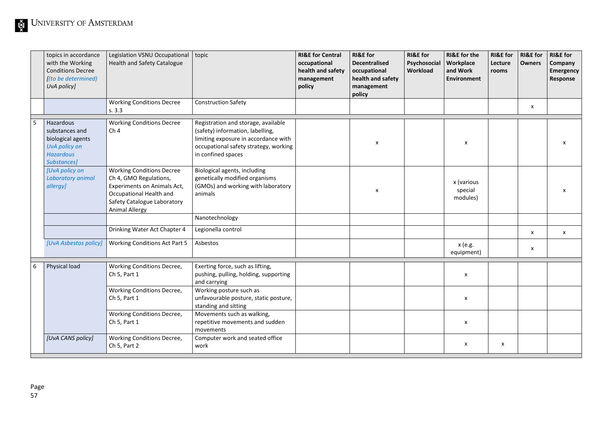|   | topics in accordance<br>with the Working<br><b>Conditions Decree</b><br>[(to be determined)<br>UvA policy] | Legislation VSNU Occupational topic<br><b>Health and Safety Catalogue</b>                                                                                                    |                                                                                                                                                                                | <b>RI&amp;E for Central</b><br>occupational<br>health and safety<br>management<br>policy | <b>RI&amp;E</b> for<br>Decentralised<br>occupational<br>health and safety<br>management<br>policy | <b>RI&amp;E</b> for<br>Psychosocial<br>Workload | <b>RI&amp;E</b> for the<br>Workplace<br>and Work<br>Environment | <b>RI&amp;E</b> for<br>Lecture<br>rooms | <b>RI&amp;E</b> for<br><b>Owners</b> | <b>RI&amp;E</b> for<br>Company<br>Emergency<br>Response |
|---|------------------------------------------------------------------------------------------------------------|------------------------------------------------------------------------------------------------------------------------------------------------------------------------------|--------------------------------------------------------------------------------------------------------------------------------------------------------------------------------|------------------------------------------------------------------------------------------|---------------------------------------------------------------------------------------------------|-------------------------------------------------|-----------------------------------------------------------------|-----------------------------------------|--------------------------------------|---------------------------------------------------------|
|   |                                                                                                            | <b>Working Conditions Decree</b><br>s.3.3                                                                                                                                    | <b>Construction Safety</b>                                                                                                                                                     |                                                                                          |                                                                                                   |                                                 |                                                                 |                                         | X                                    |                                                         |
| 5 | Hazardous<br>substances and<br>biological agents<br>UvA policy on<br><b>Hazardous</b><br>Substances]       | <b>Working Conditions Decree</b><br>Ch <sub>4</sub>                                                                                                                          | Registration and storage, available<br>(safety) information, labelling,<br>limiting exposure in accordance with<br>occupational safety strategy, working<br>in confined spaces |                                                                                          | X                                                                                                 |                                                 | X                                                               |                                         |                                      | X                                                       |
|   | [UvA policy on<br>Laboratory animal<br>allergy]                                                            | <b>Working Conditions Decree</b><br>Ch 4, GMO Regulations,<br>Experiments on Animals Act,<br>Occupational Health and<br>Safety Catalogue Laboratory<br><b>Animal Allergy</b> | Biological agents, including<br>genetically modified organisms<br>(GMOs) and working with laboratory<br>animals                                                                |                                                                                          | x                                                                                                 |                                                 | x (various<br>special<br>modules)                               |                                         |                                      | $\pmb{\times}$                                          |
|   |                                                                                                            |                                                                                                                                                                              | Nanotechnology                                                                                                                                                                 |                                                                                          |                                                                                                   |                                                 |                                                                 |                                         |                                      |                                                         |
|   |                                                                                                            | Drinking Water Act Chapter 4                                                                                                                                                 | Legionella control                                                                                                                                                             |                                                                                          |                                                                                                   |                                                 |                                                                 |                                         | X                                    | X                                                       |
|   | [UvA Asbestos policy]                                                                                      | <b>Working Conditions Act Part 5</b>                                                                                                                                         | Asbestos                                                                                                                                                                       |                                                                                          |                                                                                                   |                                                 | x (e.g.<br>equipment)                                           |                                         | X                                    |                                                         |
| 6 | Physical load                                                                                              | Working Conditions Decree,<br>Ch 5, Part 1                                                                                                                                   | Exerting force, such as lifting,<br>pushing, pulling, holding, supporting<br>and carrying                                                                                      |                                                                                          |                                                                                                   |                                                 | X                                                               |                                         |                                      |                                                         |
|   |                                                                                                            | <b>Working Conditions Decree,</b><br>Ch 5, Part 1                                                                                                                            | Working posture such as<br>unfavourable posture, static posture,<br>standing and sitting                                                                                       |                                                                                          |                                                                                                   |                                                 | $\pmb{\mathsf{x}}$                                              |                                         |                                      |                                                         |
|   |                                                                                                            | <b>Working Conditions Decree,</b><br>Ch 5, Part 1                                                                                                                            | Movements such as walking,<br>repetitive movements and sudden<br>movements                                                                                                     |                                                                                          |                                                                                                   |                                                 | X                                                               |                                         |                                      |                                                         |
|   | [UvA CANS policy]                                                                                          | Working Conditions Decree,<br>Ch 5, Part 2                                                                                                                                   | Computer work and seated office<br>work                                                                                                                                        |                                                                                          |                                                                                                   |                                                 | X                                                               | X                                       |                                      |                                                         |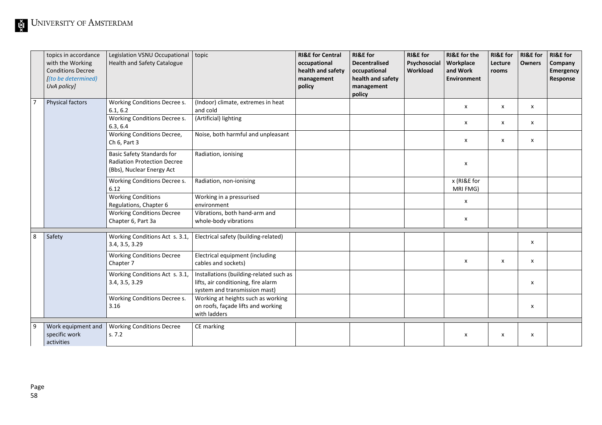|                | topics in accordance                              | Legislation VSNU Occupational topic                                                           |                                                                                                                 | <b>RI&amp;E for Central</b> | <b>RI&amp;E</b> for  | <b>RI&amp;E</b> for | <b>RI&amp;E</b> for the   | <b>RI&amp;E</b> for | <b>RI&amp;E</b> for       | <b>RI&amp;E</b> for |
|----------------|---------------------------------------------------|-----------------------------------------------------------------------------------------------|-----------------------------------------------------------------------------------------------------------------|-----------------------------|----------------------|---------------------|---------------------------|---------------------|---------------------------|---------------------|
|                | with the Working                                  | <b>Health and Safety Catalogue</b>                                                            |                                                                                                                 | occupational                | <b>Decentralised</b> | Psychosocial        | Workplace                 | Lecture             | <b>Owners</b>             | Company             |
|                | <b>Conditions Decree</b>                          |                                                                                               |                                                                                                                 | health and safety           | occupational         | Workload            | and Work                  | rooms               |                           | Emergency           |
|                | [(to be determined)                               |                                                                                               |                                                                                                                 | management                  | health and safety    |                     | Environment               |                     |                           | Response            |
|                | UvA policy]                                       |                                                                                               |                                                                                                                 | policy                      | management           |                     |                           |                     |                           |                     |
|                |                                                   |                                                                                               |                                                                                                                 |                             | policy               |                     |                           |                     |                           |                     |
| $\overline{7}$ | Physical factors                                  | Working Conditions Decree s.<br>6.1, 6.2                                                      | (Indoor) climate, extremes in heat<br>and cold                                                                  |                             |                      |                     | $\boldsymbol{\mathsf{x}}$ | x                   | $\boldsymbol{\mathsf{x}}$ |                     |
|                |                                                   | Working Conditions Decree s.<br>6.3, 6.4                                                      | (Artificial) lighting                                                                                           |                             |                      |                     | $\boldsymbol{\mathsf{x}}$ | x                   | x                         |                     |
|                |                                                   | Working Conditions Decree,<br>Ch 6, Part 3                                                    | Noise, both harmful and unpleasant                                                                              |                             |                      |                     | X                         | x                   | $\boldsymbol{\mathsf{x}}$ |                     |
|                |                                                   | Basic Safety Standards for<br><b>Radiation Protection Decree</b><br>(Bbs), Nuclear Energy Act | Radiation, ionising                                                                                             |                             |                      |                     | $\pmb{\mathsf{x}}$        |                     |                           |                     |
|                |                                                   | Working Conditions Decree s.<br>6.12                                                          | Radiation, non-ionising                                                                                         |                             |                      |                     | x (RI&E for<br>MRI FMG)   |                     |                           |                     |
|                |                                                   | <b>Working Conditions</b><br>Regulations, Chapter 6                                           | Working in a pressurised<br>environment                                                                         |                             |                      |                     | $\boldsymbol{\mathsf{x}}$ |                     |                           |                     |
|                |                                                   | <b>Working Conditions Decree</b><br>Chapter 6, Part 3a                                        | Vibrations, both hand-arm and<br>whole-body vibrations                                                          |                             |                      |                     | $\pmb{\mathsf{x}}$        |                     |                           |                     |
| 8              | Safety                                            | Working Conditions Act s. 3.1,<br>3.4, 3.5, 3.29                                              | Electrical safety (building-related)                                                                            |                             |                      |                     |                           |                     | х                         |                     |
|                |                                                   | <b>Working Conditions Decree</b><br>Chapter 7                                                 | Electrical equipment (including<br>cables and sockets)                                                          |                             |                      |                     | X                         | X                   | X                         |                     |
|                |                                                   | Working Conditions Act s. 3.1,<br>3.4, 3.5, 3.29                                              | Installations (building-related such as<br>lifts, air conditioning, fire alarm<br>system and transmission mast) |                             |                      |                     |                           |                     | х                         |                     |
|                |                                                   | Working Conditions Decree s.<br>3.16                                                          | Working at heights such as working<br>on roofs, façade lifts and working<br>with ladders                        |                             |                      |                     |                           |                     | x                         |                     |
| $\overline{9}$ | Work equipment and<br>specific work<br>activities | <b>Working Conditions Decree</b><br>s. 7.2                                                    | CE marking                                                                                                      |                             |                      |                     | X                         | x                   | х                         |                     |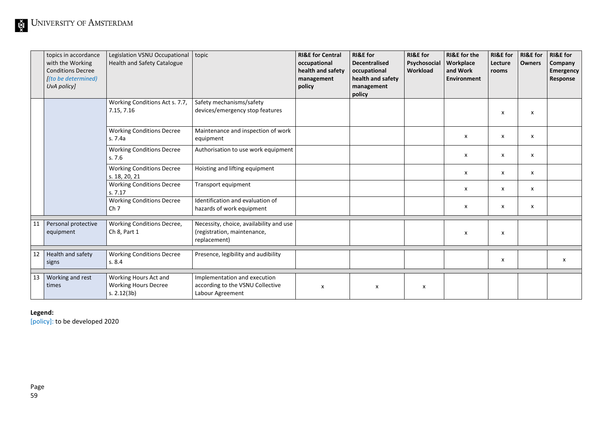|    | topics in accordance<br>with the Working<br><b>Conditions Decree</b><br>[(to be determined)<br>UvA policy] | Legislation VSNU Occupational<br>Health and Safety Catalogue          | topic                                                                                  | <b>RI&amp;E for Central</b><br>occupational<br>health and safety<br>management<br>policy | <b>RI&amp;E</b> for<br><b>Decentralised</b><br>occupational<br>health and safety<br>management<br>policy | <b>RI&amp;E</b> for<br>Psychosocial<br>Workload | <b>RI&amp;E</b> for the<br><b>Workplace</b><br>and Work<br>Environment | <b>RI&amp;E</b> for<br>Lecture<br>rooms | <b>RI&amp;E</b> for<br><b>Owners</b> | <b>RI&amp;E</b> for<br>Company<br>Emergency<br>Response |
|----|------------------------------------------------------------------------------------------------------------|-----------------------------------------------------------------------|----------------------------------------------------------------------------------------|------------------------------------------------------------------------------------------|----------------------------------------------------------------------------------------------------------|-------------------------------------------------|------------------------------------------------------------------------|-----------------------------------------|--------------------------------------|---------------------------------------------------------|
|    |                                                                                                            | Working Conditions Act s. 7.7,<br>7.15, 7.16                          | Safety mechanisms/safety<br>devices/emergency stop features                            |                                                                                          |                                                                                                          |                                                 |                                                                        | x                                       | x                                    |                                                         |
|    |                                                                                                            | <b>Working Conditions Decree</b><br>s. 7.4a                           | Maintenance and inspection of work<br>equipment                                        |                                                                                          |                                                                                                          |                                                 | X                                                                      | x                                       | x                                    |                                                         |
|    |                                                                                                            | <b>Working Conditions Decree</b><br>s.7.6                             | Authorisation to use work equipment                                                    |                                                                                          |                                                                                                          |                                                 | X                                                                      | x                                       | x                                    |                                                         |
|    |                                                                                                            | <b>Working Conditions Decree</b><br>s. 18, 20, 21                     | Hoisting and lifting equipment                                                         |                                                                                          |                                                                                                          |                                                 | x                                                                      | x                                       | x                                    |                                                         |
|    |                                                                                                            | <b>Working Conditions Decree</b><br>s.7.17                            | Transport equipment                                                                    |                                                                                          |                                                                                                          |                                                 | X                                                                      | x                                       | x                                    |                                                         |
|    |                                                                                                            | <b>Working Conditions Decree</b><br>Ch <sub>7</sub>                   | Identification and evaluation of<br>hazards of work equipment                          |                                                                                          |                                                                                                          |                                                 | X                                                                      | x                                       | x                                    |                                                         |
| 11 | Personal protective<br>equipment                                                                           | Working Conditions Decree,<br>Ch 8, Part 1                            | Necessity, choice, availability and use<br>(registration, maintenance,<br>replacement) |                                                                                          |                                                                                                          |                                                 | X                                                                      | x                                       |                                      |                                                         |
| 12 | Health and safety<br>signs                                                                                 | <b>Working Conditions Decree</b><br>s. 8.4                            | Presence, legibility and audibility                                                    |                                                                                          |                                                                                                          |                                                 |                                                                        | X                                       |                                      | x                                                       |
| 13 | Working and rest<br>times                                                                                  | Working Hours Act and<br><b>Working Hours Decree</b><br>s. $2.12(3b)$ | Implementation and execution<br>according to the VSNU Collective<br>Labour Agreement   | $\boldsymbol{\mathsf{x}}$                                                                | X                                                                                                        | $\boldsymbol{\mathsf{x}}$                       |                                                                        |                                         |                                      |                                                         |

**Legend:**

[policy]: to be developed 2020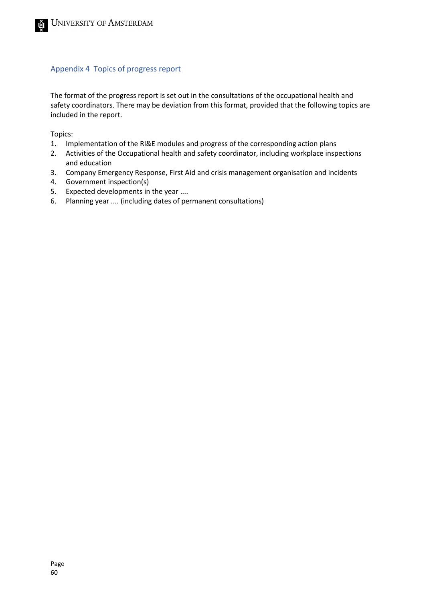#### <span id="page-59-0"></span>Appendix 4 Topics of progress report

The format of the progress report is set out in the consultations of the occupational health and safety coordinators. There may be deviation from this format, provided that the following topics are included in the report.

Topics:

- 1. Implementation of the RI&E modules and progress of the corresponding action plans
- 2. Activities of the Occupational health and safety coordinator, including workplace inspections and education
- 3. Company Emergency Response, First Aid and crisis management organisation and incidents
- 4. Government inspection(s)
- 5. Expected developments in the year ....
- 6. Planning year .... (including dates of permanent consultations)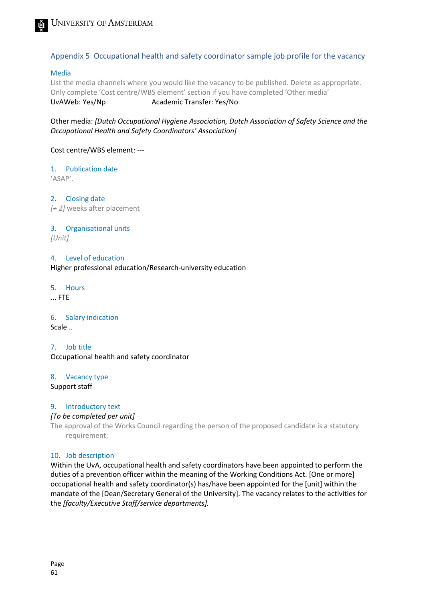

#### <span id="page-60-0"></span>Appendix 5 Occupational health and safety coordinator sample job profile for the vacancy

#### Media

List the media channels where you would like the vacancy to be published. Delete as appropriate. Only complete 'Cost centre/WBS element' section if you have completed 'Other media' UvAWeb: Yes/Np Academic Transfer: Yes/No

Other media: *[Dutch Occupational Hygiene Association, Dutch Association of Safety Science and the Occupational Health and Safety Coordinators' Association]*

#### Cost centre/WBS element: ---

#### 1. Publication date

'ASAP'.

2. Closing date *[+ 2]* weeks after placement

#### 3. Organisational units

*[Unit]*

#### 4. Level of education

Higher professional education/Research-university education

#### 5. Hours

... FTE

#### 6. Salary indication

Scale ..

7. Job title Occupational health and safety coordinator

#### 8. Vacancy type

Support staff

#### 9. Introductory text

#### *[To be completed per unit]*

The approval of the Works Council regarding the person of the proposed candidate is a statutory requirement.

#### 10. Job description

Within the UvA, occupational health and safety coordinators have been appointed to perform the duties of a prevention officer within the meaning of the Working Conditions Act. [One or more] occupational health and safety coordinator(s) has/have been appointed for the [unit] within the mandate of the [Dean/Secretary General of the University]. The vacancy relates to the activities for the *[faculty/Executive Staff/service departments].*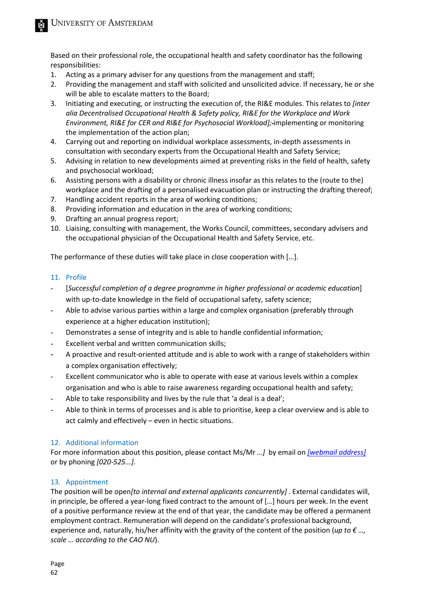Based on their professional role, the occupational health and safety coordinator has the following responsibilities:

- 1. Acting as a primary adviser for any questions from the management and staff;
- 2. Providing the management and staff with solicited and unsolicited advice. If necessary, he or she will be able to escalate matters to the Board;
- 3. Initiating and executing, or instructing the execution of, the RI&E modules. This relates to *[inter alia Decentralised Occupational Health & Safety policy, RI&E for the Workplace and Work Environment, RI&E for CER and RI&E for Psychosocial Workload];* implementing or monitoring the implementation of the action plan;
- 4. Carrying out and reporting on individual workplace assessments, in-depth assessments in consultation with secondary experts from the Occupational Health and Safety Service;
- 5. Advising in relation to new developments aimed at preventing risks in the field of health, safety and psychosocial workload;
- 6. Assisting persons with a disability or chronic illness insofar as this relates to the (route to the) workplace and the drafting of a personalised evacuation plan or instructing the drafting thereof;
- 7. Handling accident reports in the area of working conditions;
- 8. Providing information and education in the area of working conditions;
- 9. Drafting an annual progress report;
- 10. Liaising, consulting with management, the Works Council, committees, secondary advisers and the occupational physician of the Occupational Health and Safety Service, etc.

The performance of these duties will take place in close cooperation with […].

#### 11. Profile

- [*Successful completion of a degree programme in higher professional or academic education*] with up-to-date knowledge in the field of occupational safety, safety science;
- Able to advise various parties within a large and complex organisation (preferably through experience at a higher education institution);
- Demonstrates a sense of integrity and is able to handle confidential information;
- Excellent verbal and written communication skills;
- A proactive and result-oriented attitude and is able to work with a range of stakeholders within a complex organisation effectively;
- Excellent communicator who is able to operate with ease at various levels within a complex organisation and who is able to raise awareness regarding occupational health and safety;
- Able to take responsibility and lives by the rule that 'a deal is a deal';
- Able to think in terms of processes and is able to prioritise, keep a clear overview and is able to act calmly and effectively – even in hectic situations.

#### 12. Additional information

For more information about this position, please contact Ms/Mr *…]* by email on *[\[webmail address\]](mailto:e.jaspers@uva.nl)* or by phoning *[020-525...].*

#### 13. Appointment

The position will be open*[to internal and external applicants concurrently]* . External candidates will, in principle, be offered a year-long fixed contract to the amount of […] hours per week. In the event of a positive performance review at the end of that year, the candidate may be offered a permanent employment contract. Remuneration will depend on the candidate's professional background, experience and, naturally, his/her affinity with the gravity of the content of the position (*up to € …, scale … according to the CAO NU*).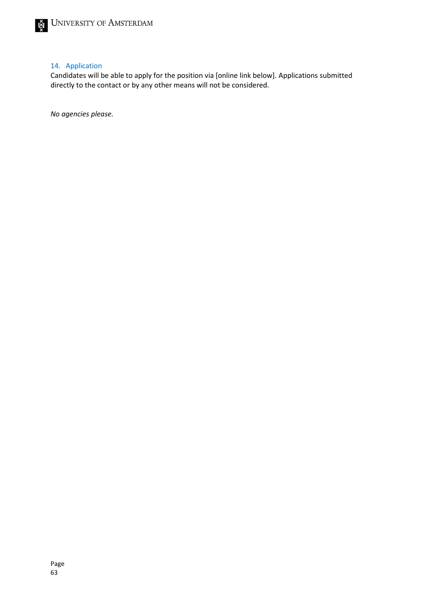#### 14. Application

Candidates will be able to apply for the position via [online link below]. Applications submitted directly to the contact or by any other means will not be considered.

*No agencies please.*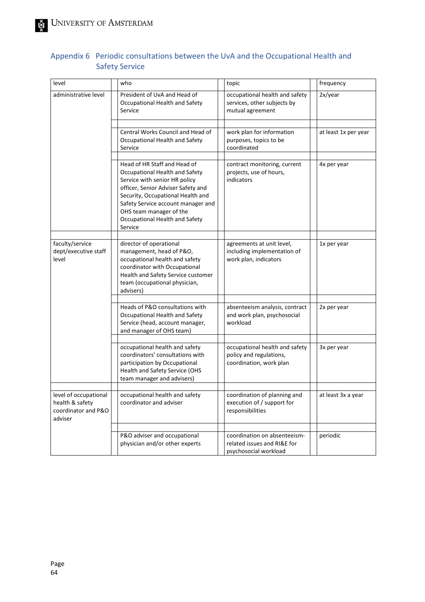| level                                                                      | who<br>topic                                                                                                                                                                                                                                                                             |                                                                                      | frequency            |  |
|----------------------------------------------------------------------------|------------------------------------------------------------------------------------------------------------------------------------------------------------------------------------------------------------------------------------------------------------------------------------------|--------------------------------------------------------------------------------------|----------------------|--|
| administrative level                                                       | President of UvA and Head of<br>Occupational Health and Safety<br>Service                                                                                                                                                                                                                | occupational health and safety<br>services, other subjects by<br>mutual agreement    | 2x/year              |  |
|                                                                            |                                                                                                                                                                                                                                                                                          |                                                                                      |                      |  |
|                                                                            | Central Works Council and Head of<br>Occupational Health and Safety<br>Service                                                                                                                                                                                                           | work plan for information<br>purposes, topics to be<br>coordinated                   | at least 1x per year |  |
|                                                                            |                                                                                                                                                                                                                                                                                          |                                                                                      |                      |  |
|                                                                            | Head of HR Staff and Head of<br>Occupational Health and Safety<br>Service with senior HR policy<br>officer, Senior Adviser Safety and<br>Security, Occupational Health and<br>Safety Service account manager and<br>OHS team manager of the<br>Occupational Health and Safety<br>Service | contract monitoring, current<br>projects, use of hours,<br>indicators                | 4x per year          |  |
|                                                                            |                                                                                                                                                                                                                                                                                          |                                                                                      |                      |  |
| faculty/service<br>dept/executive staff<br>level                           | director of operational<br>management, head of P&O,<br>occupational health and safety<br>coordinator with Occupational<br>Health and Safety Service customer<br>team (occupational physician,<br>advisers)                                                                               | agreements at unit level,<br>including implementation of<br>work plan, indicators    | 1x per year          |  |
|                                                                            |                                                                                                                                                                                                                                                                                          |                                                                                      |                      |  |
|                                                                            | Heads of P&O consultations with<br>Occupational Health and Safety<br>Service (head, account manager,<br>and manager of OHS team)                                                                                                                                                         | absenteeism analysis, contract<br>and work plan, psychosocial<br>workload            | 2x per year          |  |
|                                                                            |                                                                                                                                                                                                                                                                                          |                                                                                      |                      |  |
|                                                                            | occupational health and safety<br>coordinators' consultations with<br>participation by Occupational<br>Health and Safety Service (OHS<br>team manager and advisers)                                                                                                                      | occupational health and safety<br>policy and regulations,<br>coordination, work plan | 3x per year          |  |
|                                                                            |                                                                                                                                                                                                                                                                                          |                                                                                      |                      |  |
| level of occupational<br>health & safety<br>coordinator and P&O<br>adviser | occupational health and safety<br>coordinator and adviser                                                                                                                                                                                                                                | coordination of planning and<br>execution of / support for<br>responsibilities       | at least 3x a year   |  |
|                                                                            |                                                                                                                                                                                                                                                                                          |                                                                                      |                      |  |
|                                                                            | P&O adviser and occupational<br>physician and/or other experts                                                                                                                                                                                                                           | coordination on absenteeism-<br>related issues and RI&E for<br>psychosocial workload | periodic             |  |

## <span id="page-63-0"></span>Appendix 6 Periodic consultations between the UvA and the Occupational Health and Safety Service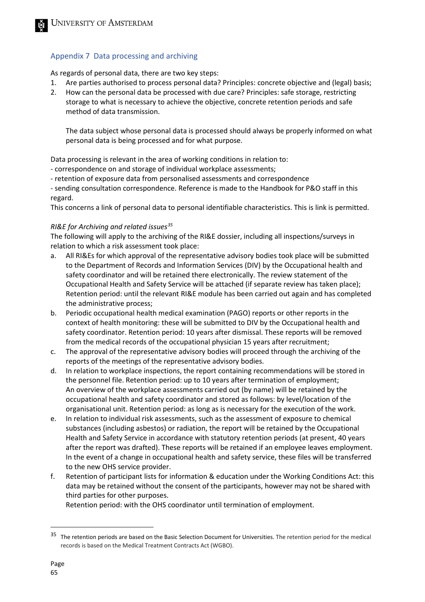### <span id="page-64-0"></span>Appendix 7 Data processing and archiving

As regards of personal data, there are two key steps:

- 1. Are parties authorised to process personal data? Principles: concrete objective and (legal) basis;
- 2. How can the personal data be processed with due care? Principles: safe storage, restricting storage to what is necessary to achieve the objective, concrete retention periods and safe method of data transmission.

The data subject whose personal data is processed should always be properly informed on what personal data is being processed and for what purpose.

Data processing is relevant in the area of working conditions in relation to:

- correspondence on and storage of individual workplace assessments;
- retention of exposure data from personalised assessments and correspondence

- sending consultation correspondence. Reference is made to the Handbook for P&O staff in this regard.

This concerns a link of personal data to personal identifiable characteristics. This is link is permitted.

#### *RI&E for Archiving and related issues[35](#page-64-1)*

The following will apply to the archiving of the RI&E dossier, including all inspections/surveys in relation to which a risk assessment took place:

- a. All RI&Es for which approval of the representative advisory bodies took place will be submitted to the Department of Records and Information Services (DIV) by the Occupational health and safety coordinator and will be retained there electronically. The review statement of the Occupational Health and Safety Service will be attached (if separate review has taken place); Retention period: until the relevant RI&E module has been carried out again and has completed the administrative process;
- b. Periodic occupational health medical examination (PAGO) reports or other reports in the context of health monitoring: these will be submitted to DIV by the Occupational health and safety coordinator. Retention period: 10 years after dismissal. These reports will be removed from the medical records of the occupational physician 15 years after recruitment;
- c. The approval of the representative advisory bodies will proceed through the archiving of the reports of the meetings of the representative advisory bodies.
- d. In relation to workplace inspections, the report containing recommendations will be stored in the personnel file. Retention period: up to 10 years after termination of employment; An overview of the workplace assessments carried out (by name) will be retained by the occupational health and safety coordinator and stored as follows: by level/location of the organisational unit. Retention period: as long as is necessary for the execution of the work.
- e. In relation to individual risk assessments, such as the assessment of exposure to chemical substances (including asbestos) or radiation, the report will be retained by the Occupational Health and Safety Service in accordance with statutory retention periods (at present, 40 years after the report was drafted). These reports will be retained if an employee leaves employment. In the event of a change in occupational health and safety service, these files will be transferred to the new OHS service provider.
- f. Retention of participant lists for information & education under the Working Conditions Act: this data may be retained without the consent of the participants, however may not be shared with third parties for other purposes.

Retention period: with the OHS coordinator until termination of employment.

<span id="page-64-1"></span> $35$  The retention periods are based on the Basic Selection Document for Universities. The retention period for the medical records is based on the Medical Treatment Contracts Act (WGBO).